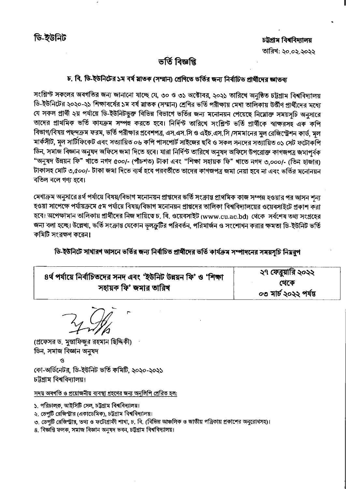## ভৰ্তি বিজ্ঞপ্নি

## চ. বি. ডি-ইউনিটের ১ম বর্ষ মাতক (সম্মান) শ্রেণিতে ভর্তির জন্য নির্বাচিত প্রার্থীদের জ্ঞাতব্য

সংশ্লিন্ট সকলের অবগতির জন্য জানানো যাচ্ছে যে, ৩০ ও ৩১ অক্টোবর, ২০২১ তারিখে অনুষ্ঠিত চট্টগ্রাম বিশ্ববিদ্যালয় ডি-ইউনিটের ২০২০-২১ শিক্ষাবর্ষের ১ম বর্ষ স্নাতক (সম্মান) শ্রেণির ভর্তি পরীক্ষায় মেধা তালিকায় উর্ত্তীণ প্রার্থীদের মধ্যে যে সকল প্রার্থী ২য় পর্যায়ে ডি-ইউনিটভুক্ত বিভিন্ন বিভাগে ভর্তির জন্য মনোনয়ন পেয়েছে নিম্নোক্ত সময়সূচি অনুসারে তাদের প্রাথমিক ভর্তি কাযক্রম সম্পন্ন করতে হবে। নির্দিন্ট তারিখে সংশ্লিন্ট ভর্তি প্রার্থীকে স্বাক্ষরসহ এক কপি বিভাগ/বিষয় পছন্দক্রম ফরম, ভর্তি পরীক্ষার প্রবেশপত্র, এস.এস.সি ও এইচ.এস.সি /সমমানের মুল রেজিস্ট্রেশন কার্ড, মূল মার্কসীট, মূল সার্টিফিকেট এবং সত্যায়িত ০৬ কপি পাসপোর্ট সাইজের ছবি ও সকল সনদের সত্যায়িত ০১ সেট ফটোকপি ডিন, সমাজ বিজ্ঞান অনুষদ অফিসে জমা দিতে হবে। যারা নির্দিন্ট তারিখে অনষদ অফিসে উপরোক্ত কাগজপত্র জমাপর্বক "অনুষদ উন্নয়ন ফি" খাতে নগদ ৫০০/- (পীচশত) টাকা এবং "শিক্ষা সহায়ক ফি" খাতে নগদ ৩,০০০/- (তিন হাজার) টাকাসহ মোট ৩,৫০০/- টাকা জমা দিতে ব্যর্থ হবে পরবর্তীতে তাদের কাগজপত্র জমা নেয়া হবে না এবং ভর্তির মনোনয়ন বতিল বলে গণ্য হবে।

মেধাক্রম অনুসারে ৪র্থ পর্যায়ে বিষয়/বিভাগ মনোনয়ন প্রাপ্তদের ভর্তি সংক্রান্ত প্রাথমিক কাজ সম্পন্ন হওয়ার পর আসন শন্য হওয়া সাপেক্ষে পর্যায়ক্রমে ৫ম পর্যায়ে বিষয়/বিভাগ মনোনয়ন প্রাপ্তদের তালিকা বিশ্ববিদ্যালয়ের ওয়েবসাইটে প্রকাশ করা হবে। অপেক্ষামান তালিকায় প্রার্থীদের নিজ দায়িত্বে চ. বি. ওয়েবসাইট (www.cu.ac.bd) থেকে সর্বশেষ তথ্য সংগ্রহের জন্য বলা হচ্ছে। উল্লেখ্য, ভর্তি সংক্রান্ত যেকোন ভুলক্রুটির পরিবর্তন, পরিমার্জন ও সংশোধন করার ক্ষমতা ডি-ইউনিট ভর্তি কমিটি সংরক্ষণ করেন।

ডি-ইউনিটে সাধারণ আসনে ভর্তির জন্য নির্বাচিত প্রার্থীদের ভর্তি কার্যক্রম সম্পাদনের সময়সচি নিয়রপ

| ৪র্থ পর্যায়ে নির্বাচিতদের সনদ এবং 'ইউনিট উন্নয়ন ফি' ও 'শিক্ষা | ২৭ ফেব্রুয়ারি ২০২২   |
|-----------------------------------------------------------------|-----------------------|
| সহায়ক ফি' জমার তারিখ                                           | থেকে                  |
|                                                                 | ০৩ মার্চ ২০২২ পর্যন্ত |

(প্রফেসর ড. মৃস্তাফিজর রহমান ছিদ্দিকী) ডিন, সমাজ বিজ্ঞান অনুষদ কো-অর্ডিনেটর, ডি-ইউনিট ভর্তি কমিটি, ২০২০-২০২১ চট্টগ্ৰাম বিশ্ববিদ্যালয়।

সদয় অবগতি ও প্রয়োজনীয় ব্যবস্থা গ্রহণের জন্য অনুলিপি প্রেরিত হল:

১. পরিচালক, আইসিটি সেল, চট্টগ্রাম বিশ্ববিদ্যালয়।

২. ডেপটি রেজিস্ট্রার এেকাডেমিক), চট্টগ্রাম বিশ্ববিদ্যালয়।

৩, ডেপটি রেজিস্ট্রার, তথ্য ও ফটোগ্রাফী শাখা, চ. বি. (বিভিন্ন আঞ্চলিক ও জাতীয় পত্রিকায় প্রকাশের অনুরোধসহ)।

৪. বিজ্ঞপ্তি ফলক, সমাজ বিজ্ঞান অনুষদ ভবন, চট্টগ্ৰাম বিশ্ববিদ্যালয়।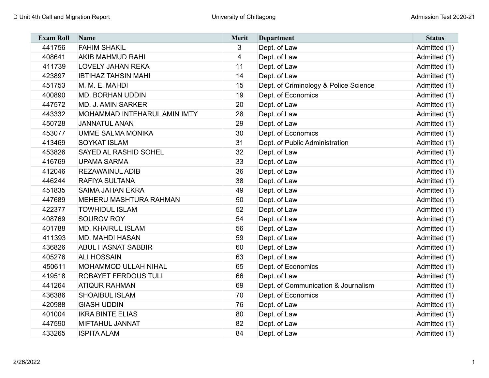| <b>Exam Roll</b> | Name                          | <b>Merit</b> | <b>Department</b>                     | <b>Status</b> |
|------------------|-------------------------------|--------------|---------------------------------------|---------------|
| 441756           | <b>FAHIM SHAKIL</b>           | 3            | Dept. of Law                          | Admitted (1)  |
| 408641           | <b>AKIB MAHMUD RAHI</b>       | 4            | Dept. of Law                          | Admitted (1)  |
| 411739           | <b>LOVELY JAHAN REKA</b>      | 11           | Dept. of Law                          | Admitted (1)  |
| 423897           | <b>IBTIHAZ TAHSIN MAHI</b>    | 14           | Dept. of Law                          | Admitted (1)  |
| 451753           | M. M. E. MAHDI                | 15           | Dept. of Criminology & Police Science | Admitted (1)  |
| 400890           | <b>MD. BORHAN UDDIN</b>       | 19           | Dept. of Economics                    | Admitted (1)  |
| 447572           | <b>MD. J. AMIN SARKER</b>     | 20           | Dept. of Law                          | Admitted (1)  |
| 443332           | MOHAMMAD INTEHARUL AMIN IMTY  | 28           | Dept. of Law                          | Admitted (1)  |
| 450728           | <b>JANNATUL ANAN</b>          | 29           | Dept. of Law                          | Admitted (1)  |
| 453077           | <b>UMME SALMA MONIKA</b>      | 30           | Dept. of Economics                    | Admitted (1)  |
| 413469           | <b>SOYKAT ISLAM</b>           | 31           | Dept. of Public Administration        | Admitted (1)  |
| 453826           | SAYED AL RASHID SOHEL         | 32           | Dept. of Law                          | Admitted (1)  |
| 416769           | <b>UPAMA SARMA</b>            | 33           | Dept. of Law                          | Admitted (1)  |
| 412046           | <b>REZAWAINUL ADIB</b>        | 36           | Dept. of Law                          | Admitted (1)  |
| 446244           | RAFIYA SULTANA                | 38           | Dept. of Law                          | Admitted (1)  |
| 451835           | <b>SAIMA JAHAN EKRA</b>       | 49           | Dept. of Law                          | Admitted (1)  |
| 447689           | <b>MEHERU MASHTURA RAHMAN</b> | 50           | Dept. of Law                          | Admitted (1)  |
| 422377           | <b>TOWHIDUL ISLAM</b>         | 52           | Dept. of Law                          | Admitted (1)  |
| 408769           | SOUROV ROY                    | 54           | Dept. of Law                          | Admitted (1)  |
| 401788           | <b>MD. KHAIRUL ISLAM</b>      | 56           | Dept. of Law                          | Admitted (1)  |
| 411393           | <b>MD. MAHDI HASAN</b>        | 59           | Dept. of Law                          | Admitted (1)  |
| 436826           | <b>ABUL HASNAT SABBIR</b>     | 60           | Dept. of Law                          | Admitted (1)  |
| 405276           | <b>ALI HOSSAIN</b>            | 63           | Dept. of Law                          | Admitted (1)  |
| 450611           | MOHAMMOD ULLAH NIHAL          | 65           | Dept. of Economics                    | Admitted (1)  |
| 419518           | ROBAYET FERDOUS TULI          | 66           | Dept. of Law                          | Admitted (1)  |
| 441264           | <b>ATIQUR RAHMAN</b>          | 69           | Dept. of Communication & Journalism   | Admitted (1)  |
| 436386           | <b>SHOAIBUL ISLAM</b>         | 70           | Dept. of Economics                    | Admitted (1)  |
| 420988           | <b>GIASH UDDIN</b>            | 76           | Dept. of Law                          | Admitted (1)  |
| 401004           | <b>IKRA BINTE ELIAS</b>       | 80           | Dept. of Law                          | Admitted (1)  |
| 447590           | <b>MIFTAHUL JANNAT</b>        | 82           | Dept. of Law                          | Admitted (1)  |
| 433265           | <b>ISPITA ALAM</b>            | 84           | Dept. of Law                          | Admitted (1)  |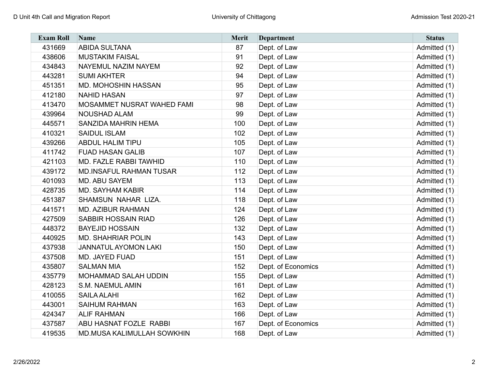| <b>Exam Roll</b> | <b>Name</b>                    | <b>Merit</b> | <b>Department</b>  | <b>Status</b> |
|------------------|--------------------------------|--------------|--------------------|---------------|
| 431669           | <b>ABIDA SULTANA</b>           | 87           | Dept. of Law       | Admitted (1)  |
| 438606           | <b>MUSTAKIM FAISAL</b>         | 91           | Dept. of Law       | Admitted (1)  |
| 434843           | NAYEMUL NAZIM NAYEM            | 92           | Dept. of Law       | Admitted (1)  |
| 443281           | <b>SUMI AKHTER</b>             | 94           | Dept. of Law       | Admitted (1)  |
| 451351           | MD. MOHOSHIN HASSAN            | 95           | Dept. of Law       | Admitted (1)  |
| 412180           | <b>NAHID HASAN</b>             | 97           | Dept. of Law       | Admitted (1)  |
| 413470           | MOSAMMET NUSRAT WAHED FAMI     | 98           | Dept. of Law       | Admitted (1)  |
| 439964           | <b>NOUSHAD ALAM</b>            | 99           | Dept. of Law       | Admitted (1)  |
| 445571           | <b>SANZIDA MAHRIN HEMA</b>     | 100          | Dept. of Law       | Admitted (1)  |
| 410321           | <b>SAIDUL ISLAM</b>            | 102          | Dept. of Law       | Admitted (1)  |
| 439266           | <b>ABDUL HALIM TIPU</b>        | 105          | Dept. of Law       | Admitted (1)  |
| 411742           | <b>FUAD HASAN GALIB</b>        | 107          | Dept. of Law       | Admitted (1)  |
| 421103           | MD. FAZLE RABBI TAWHID         | 110          | Dept. of Law       | Admitted (1)  |
| 439172           | <b>MD.INSAFUL RAHMAN TUSAR</b> | 112          | Dept. of Law       | Admitted (1)  |
| 401093           | MD. ABU SAYEM                  | 113          | Dept. of Law       | Admitted (1)  |
| 428735           | <b>MD. SAYHAM KABIR</b>        | 114          | Dept. of Law       | Admitted (1)  |
| 451387           | SHAMSUN NAHAR LIZA.            | 118          | Dept. of Law       | Admitted (1)  |
| 441571           | MD. AZIBUR RAHMAN              | 124          | Dept. of Law       | Admitted (1)  |
| 427509           | SABBIR HOSSAIN RIAD            | 126          | Dept. of Law       | Admitted (1)  |
| 448372           | <b>BAYEJID HOSSAIN</b>         | 132          | Dept. of Law       | Admitted (1)  |
| 440925           | <b>MD. SHAHRIAR POLIN</b>      | 143          | Dept. of Law       | Admitted (1)  |
| 437938           | <b>JANNATUL AYOMON LAKI</b>    | 150          | Dept. of Law       | Admitted (1)  |
| 437508           | MD. JAYED FUAD                 | 151          | Dept. of Law       | Admitted (1)  |
| 435807           | <b>SALMAN MIA</b>              | 152          | Dept. of Economics | Admitted (1)  |
| 435779           | MOHAMMAD SALAH UDDIN           | 155          | Dept. of Law       | Admitted (1)  |
| 428123           | S.M. NAEMUL AMIN               | 161          | Dept. of Law       | Admitted (1)  |
| 410055           | <b>SAILA ALAHI</b>             | 162          | Dept. of Law       | Admitted (1)  |
| 443001           | <b>SAIHUM RAHMAN</b>           | 163          | Dept. of Law       | Admitted (1)  |
| 424347           | <b>ALIF RAHMAN</b>             | 166          | Dept. of Law       | Admitted (1)  |
| 437587           | ABU HASNAT FOZLE RABBI         | 167          | Dept. of Economics | Admitted (1)  |
| 419535           | MD.MUSA KALIMULLAH SOWKHIN     | 168          | Dept. of Law       | Admitted (1)  |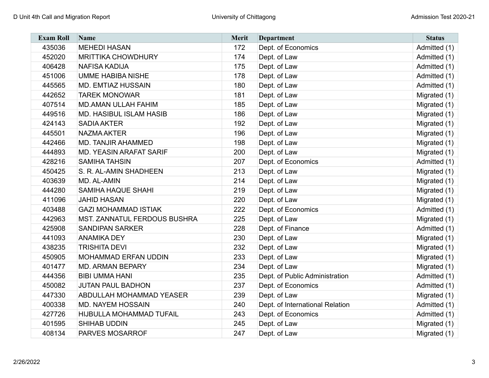| <b>Exam Roll</b> | <b>Name</b>                     | <b>Merit</b> | <b>Department</b>               | <b>Status</b> |
|------------------|---------------------------------|--------------|---------------------------------|---------------|
| 435036           | <b>MEHEDI HASAN</b>             | 172          | Dept. of Economics              | Admitted (1)  |
| 452020           | <b>MRITTIKA CHOWDHURY</b>       | 174          | Dept. of Law                    | Admitted (1)  |
| 406428           | <b>NAFISA KADIJA</b>            | 175          | Dept. of Law                    | Admitted (1)  |
| 451006           | <b>UMME HABIBA NISHE</b>        | 178          | Dept. of Law                    | Admitted (1)  |
| 445565           | <b>MD. EMTIAZ HUSSAIN</b>       | 180          | Dept. of Law                    | Admitted (1)  |
| 442652           | <b>TAREK MONOWAR</b>            | 181          | Dept. of Law                    | Migrated (1)  |
| 407514           | <b>MD.AMAN ULLAH FAHIM</b>      | 185          | Dept. of Law                    | Migrated (1)  |
| 449516           | MD. HASIBUL ISLAM HASIB         | 186          | Dept. of Law                    | Migrated (1)  |
| 424143           | <b>SADIA AKTER</b>              | 192          | Dept. of Law                    | Migrated (1)  |
| 445501           | <b>NAZMA AKTER</b>              | 196          | Dept. of Law                    | Migrated (1)  |
| 442466           | <b>MD. TANJIR AHAMMED</b>       | 198          | Dept. of Law                    | Migrated (1)  |
| 444893           | <b>MD. YEASIN ARAFAT SARIF</b>  | 200          | Dept. of Law                    | Migrated (1)  |
| 428216           | <b>SAMIHA TAHSIN</b>            | 207          | Dept. of Economics              | Admitted (1)  |
| 450425           | S. R. AL-AMIN SHADHEEN          | 213          | Dept. of Law                    | Migrated (1)  |
| 403639           | MD. AL-AMIN                     | 214          | Dept. of Law                    | Migrated (1)  |
| 444280           | <b>SAMIHA HAQUE SHAHI</b>       | 219          | Dept. of Law                    | Migrated (1)  |
| 411096           | <b>JAHID HASAN</b>              | 220          | Dept. of Law                    | Migrated (1)  |
| 403488           | <b>GAZI MOHAMMAD ISTIAK</b>     | 222          | Dept. of Economics              | Admitted (1)  |
| 442963           | MST. ZANNATUL FERDOUS BUSHRA    | 225          | Dept. of Law                    | Migrated (1)  |
| 425908           | <b>SANDIPAN SARKER</b>          | 228          | Dept. of Finance                | Admitted (1)  |
| 441093           | <b>ANAMIKA DEY</b>              | 230          | Dept. of Law                    | Migrated (1)  |
| 438235           | <b>TRISHITA DEVI</b>            | 232          | Dept. of Law                    | Migrated (1)  |
| 450905           | MOHAMMAD ERFAN UDDIN            | 233          | Dept. of Law                    | Migrated (1)  |
| 401477           | <b>MD. ARMAN BEPARY</b>         | 234          | Dept. of Law                    | Migrated (1)  |
| 444356           | <b>BIBI UMMA HANI</b>           | 235          | Dept. of Public Administration  | Admitted (1)  |
| 450082           | <b>JUTAN PAUL BADHON</b>        | 237          | Dept. of Economics              | Admitted (1)  |
| 447330           | <b>ABDULLAH MOHAMMAD YEASER</b> | 239          | Dept. of Law                    | Migrated (1)  |
| 400338           | <b>MD. NAYEM HOSSAIN</b>        | 240          | Dept. of International Relation | Admitted (1)  |
| 427726           | HIJBULLA MOHAMMAD TUFAIL        | 243          | Dept. of Economics              | Admitted (1)  |
| 401595           | SHIHAB UDDIN                    | 245          | Dept. of Law                    | Migrated (1)  |
| 408134           | PARVES MOSARROF                 | 247          | Dept. of Law                    | Migrated (1)  |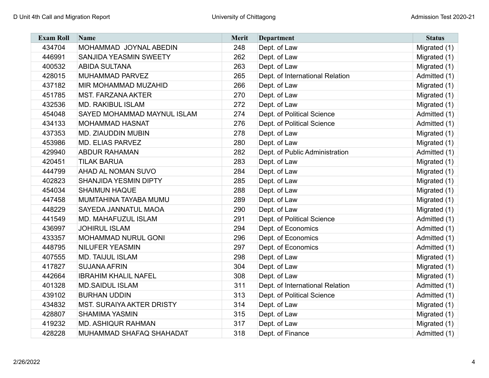| <b>Exam Roll</b> | Name                             | Merit | <b>Department</b>               | <b>Status</b> |
|------------------|----------------------------------|-------|---------------------------------|---------------|
| 434704           | MOHAMMAD JOYNAL ABEDIN           | 248   | Dept. of Law                    | Migrated (1)  |
| 446991           | SANJIDA YEASMIN SWEETY           | 262   | Dept. of Law                    | Migrated (1)  |
| 400532           | <b>ABIDA SULTANA</b>             | 263   | Dept. of Law                    | Migrated (1)  |
| 428015           | MUHAMMAD PARVEZ                  | 265   | Dept. of International Relation | Admitted (1)  |
| 437182           | MIR MOHAMMAD MUZAHID             | 266   | Dept. of Law                    | Migrated (1)  |
| 451785           | <b>MST. FARZANA AKTER</b>        | 270   | Dept. of Law                    | Migrated (1)  |
| 432536           | <b>MD. RAKIBUL ISLAM</b>         | 272   | Dept. of Law                    | Migrated (1)  |
| 454048           | SAYED MOHAMMAD MAYNUL ISLAM      | 274   | Dept. of Political Science      | Admitted (1)  |
| 434133           | <b>MOHAMMAD HASNAT</b>           | 276   | Dept. of Political Science      | Admitted (1)  |
| 437353           | MD. ZIAUDDIN MUBIN               | 278   | Dept. of Law                    | Migrated (1)  |
| 453986           | <b>MD. ELIAS PARVEZ</b>          | 280   | Dept. of Law                    | Migrated (1)  |
| 429940           | <b>ABDUR RAHAMAN</b>             | 282   | Dept. of Public Administration  | Admitted (1)  |
| 420451           | <b>TILAK BARUA</b>               | 283   | Dept. of Law                    | Migrated (1)  |
| 444799           | <b>AHAD AL NOMAN SUVO</b>        | 284   | Dept. of Law                    | Migrated (1)  |
| 402823           | <b>SHANJIDA YESMIN DIPTY</b>     | 285   | Dept. of Law                    | Migrated (1)  |
| 454034           | <b>SHAIMUN HAQUE</b>             | 288   | Dept. of Law                    | Migrated (1)  |
| 447458           | MUMTAHINA TAYABA MUMU            | 289   | Dept. of Law                    | Migrated (1)  |
| 448229           | SAYEDA JANNATUL MAOA             | 290   | Dept. of Law                    | Migrated (1)  |
| 441549           | <b>MD. MAHAFUZUL ISLAM</b>       | 291   | Dept. of Political Science      | Admitted (1)  |
| 436997           | <b>JOHIRUL ISLAM</b>             | 294   | Dept. of Economics              | Admitted (1)  |
| 433357           | MOHAMMAD NURUL GONI              | 296   | Dept. of Economics              | Admitted (1)  |
| 448795           | <b>NILUFER YEASMIN</b>           | 297   | Dept. of Economics              | Admitted (1)  |
| 407555           | <b>MD. TAIJUL ISLAM</b>          | 298   | Dept. of Law                    | Migrated (1)  |
| 417827           | <b>SUJANA AFRIN</b>              | 304   | Dept. of Law                    | Migrated (1)  |
| 442664           | <b>IBRAHIM KHALIL NAFEL</b>      | 308   | Dept. of Law                    | Migrated (1)  |
| 401328           | <b>MD.SAIDUL ISLAM</b>           | 311   | Dept. of International Relation | Admitted (1)  |
| 439102           | <b>BURHAN UDDIN</b>              | 313   | Dept. of Political Science      | Admitted (1)  |
| 434832           | <b>MST. SURAIYA AKTER DRISTY</b> | 314   | Dept. of Law                    | Migrated (1)  |
| 428807           | <b>SHAMIMA YASMIN</b>            | 315   | Dept. of Law                    | Migrated (1)  |
| 419232           | <b>MD. ASHIQUR RAHMAN</b>        | 317   | Dept. of Law                    | Migrated (1)  |
| 428228           | MUHAMMAD SHAFAQ SHAHADAT         | 318   | Dept. of Finance                | Admitted (1)  |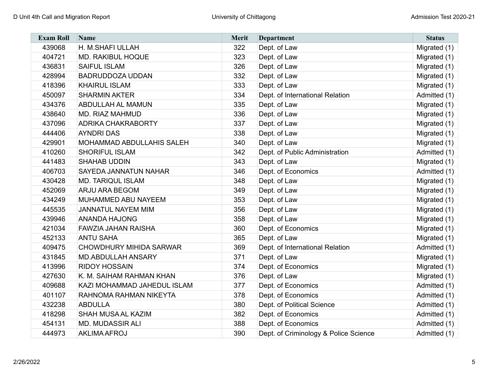| <b>Exam Roll</b> | <b>Name</b>                    | <b>Merit</b> | <b>Department</b>                     | <b>Status</b> |
|------------------|--------------------------------|--------------|---------------------------------------|---------------|
| 439068           | H. M.SHAFI ULLAH               | 322          | Dept. of Law                          | Migrated (1)  |
| 404721           | <b>MD. RAKIBUL HOQUE</b>       | 323          | Dept. of Law                          | Migrated (1)  |
| 436831           | <b>SAIFUL ISLAM</b>            | 326          | Dept. of Law                          | Migrated (1)  |
| 428994           | <b>BADRUDDOZA UDDAN</b>        | 332          | Dept. of Law                          | Migrated (1)  |
| 418396           | <b>KHAIRUL ISLAM</b>           | 333          | Dept. of Law                          | Migrated (1)  |
| 450097           | <b>SHARMIN AKTER</b>           | 334          | Dept. of International Relation       | Admitted (1)  |
| 434376           | <b>ABDULLAH AL MAMUN</b>       | 335          | Dept. of Law                          | Migrated (1)  |
| 438640           | <b>MD. RIAZ MAHMUD</b>         | 336          | Dept. of Law                          | Migrated (1)  |
| 437096           | <b>ADRIKA CHAKRABORTY</b>      | 337          | Dept. of Law                          | Migrated (1)  |
| 444406           | <b>AYNDRI DAS</b>              | 338          | Dept. of Law                          | Migrated (1)  |
| 429901           | MOHAMMAD ABDULLAHIS SALEH      | 340          | Dept. of Law                          | Migrated (1)  |
| 410260           | <b>SHORIFUL ISLAM</b>          | 342          | Dept. of Public Administration        | Admitted (1)  |
| 441483           | <b>SHAHAB UDDIN</b>            | 343          | Dept. of Law                          | Migrated (1)  |
| 406703           | <b>SAYEDA JANNATUN NAHAR</b>   | 346          | Dept. of Economics                    | Admitted (1)  |
| 430428           | <b>MD. TARIQUL ISLAM</b>       | 348          | Dept. of Law                          | Migrated (1)  |
| 452069           | <b>ARJU ARA BEGOM</b>          | 349          | Dept. of Law                          | Migrated (1)  |
| 434249           | MUHAMMED ABU NAYEEM            | 353          | Dept. of Law                          | Migrated (1)  |
| 445535           | <b>JANNATUL NAYEM MIM</b>      | 356          | Dept. of Law                          | Migrated (1)  |
| 439946           | <b>ANANDA HAJONG</b>           | 358          | Dept. of Law                          | Migrated (1)  |
| 421034           | <b>FAWZIA JAHAN RAISHA</b>     | 360          | Dept. of Economics                    | Migrated (1)  |
| 452133           | <b>ANTU SAHA</b>               | 365          | Dept. of Law                          | Migrated (1)  |
| 409475           | <b>CHOWDHURY MIHIDA SARWAR</b> | 369          | Dept. of International Relation       | Admitted (1)  |
| 431845           | <b>MD.ABDULLAH ANSARY</b>      | 371          | Dept. of Law                          | Migrated (1)  |
| 413996           | <b>RIDOY HOSSAIN</b>           | 374          | Dept. of Economics                    | Migrated (1)  |
| 427630           | K. M. SAIHAM RAHMAN KHAN       | 376          | Dept. of Law                          | Migrated (1)  |
| 409688           | KAZI MOHAMMAD JAHEDUL ISLAM    | 377          | Dept. of Economics                    | Admitted (1)  |
| 401107           | RAHNOMA RAHMAN NIKEYTA         | 378          | Dept. of Economics                    | Admitted (1)  |
| 432238           | <b>ABDULLA</b>                 | 380          | Dept. of Political Science            | Admitted (1)  |
| 418298           | <b>SHAH MUSA AL KAZIM</b>      | 382          | Dept. of Economics                    | Admitted (1)  |
| 454131           | <b>MD. MUDASSIR ALI</b>        | 388          | Dept. of Economics                    | Admitted (1)  |
| 444973           | <b>AKLIMA AFROJ</b>            | 390          | Dept. of Criminology & Police Science | Admitted (1)  |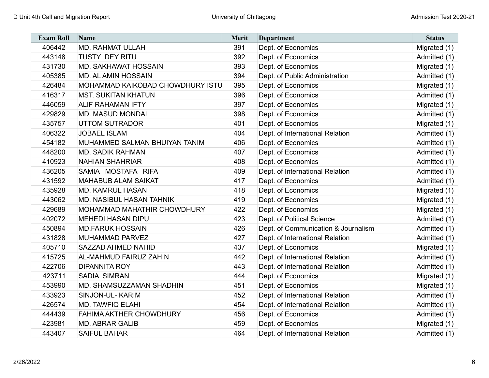| <b>Exam Roll</b> | <b>Name</b>                      | <b>Merit</b> | <b>Department</b>                   | <b>Status</b> |
|------------------|----------------------------------|--------------|-------------------------------------|---------------|
| 406442           | <b>MD. RAHMAT ULLAH</b>          | 391          | Dept. of Economics                  | Migrated (1)  |
| 443148           | <b>TUSTY DEY RITU</b>            | 392          | Dept. of Economics                  | Admitted (1)  |
| 431730           | MD. SAKHAWAT HOSSAIN             | 393          | Dept. of Economics                  | Migrated (1)  |
| 405385           | <b>MD. AL AMIN HOSSAIN</b>       | 394          | Dept. of Public Administration      | Admitted (1)  |
| 426484           | MOHAMMAD KAIKOBAD CHOWDHURY ISTU | 395          | Dept. of Economics                  | Migrated (1)  |
| 416317           | <b>MST. SUKITAN KHATUN</b>       | 396          | Dept. of Economics                  | Admitted (1)  |
| 446059           | <b>ALIF RAHAMAN IFTY</b>         | 397          | Dept. of Economics                  | Migrated (1)  |
| 429829           | <b>MD. MASUD MONDAL</b>          | 398          | Dept. of Economics                  | Admitted (1)  |
| 435757           | <b>UTTOM SUTRADOR</b>            | 401          | Dept. of Economics                  | Migrated (1)  |
| 406322           | <b>JOBAEL ISLAM</b>              | 404          | Dept. of International Relation     | Admitted (1)  |
| 454182           | MUHAMMED SALMAN BHUIYAN TANIM    | 406          | Dept. of Economics                  | Admitted (1)  |
| 448200           | <b>MD. SADIK RAHMAN</b>          | 407          | Dept. of Economics                  | Admitted (1)  |
| 410923           | <b>NAHIAN SHAHRIAR</b>           | 408          | Dept. of Economics                  | Admitted (1)  |
| 436205           | SAMIA MOSTAFA RIFA               | 409          | Dept. of International Relation     | Admitted (1)  |
| 431592           | <b>MAHABUB ALAM SAIKAT</b>       | 417          | Dept. of Economics                  | Admitted (1)  |
| 435928           | <b>MD. KAMRUL HASAN</b>          | 418          | Dept. of Economics                  | Migrated (1)  |
| 443062           | MD. NASIBUL HASAN TAHNIK         | 419          | Dept. of Economics                  | Migrated (1)  |
| 429689           | MOHAMMAD MAHATHIR CHOWDHURY      | 422          | Dept. of Economics                  | Migrated (1)  |
| 402072           | <b>MEHEDI HASAN DIPU</b>         | 423          | Dept. of Political Science          | Admitted (1)  |
| 450894           | <b>MD.FARUK HOSSAIN</b>          | 426          | Dept. of Communication & Journalism | Admitted (1)  |
| 431828           | MUHAMMAD PARVEZ                  | 427          | Dept. of International Relation     | Admitted (1)  |
| 405710           | SAZZAD AHMED NAHID               | 437          | Dept. of Economics                  | Migrated (1)  |
| 415725           | <b>AL-MAHMUD FAIRUZ ZAHIN</b>    | 442          | Dept. of International Relation     | Admitted (1)  |
| 422706           | <b>DIPANNITA ROY</b>             | 443          | Dept. of International Relation     | Admitted (1)  |
| 423711           | <b>SADIA SIMRAN</b>              | 444          | Dept. of Economics                  | Migrated (1)  |
| 453990           | MD. SHAMSUZZAMAN SHADHIN         | 451          | Dept. of Economics                  | Migrated (1)  |
| 433923           | SINJON-UL-KARIM                  | 452          | Dept. of International Relation     | Admitted (1)  |
| 426574           | <b>MD. TAWFIQ ELAHI</b>          | 454          | Dept. of International Relation     | Admitted (1)  |
| 444439           | <b>FAHIMA AKTHER CHOWDHURY</b>   | 456          | Dept. of Economics                  | Admitted (1)  |
| 423981           | <b>MD. ABRAR GALIB</b>           | 459          | Dept. of Economics                  | Migrated (1)  |
| 443407           | <b>SAIFUL BAHAR</b>              | 464          | Dept. of International Relation     | Admitted (1)  |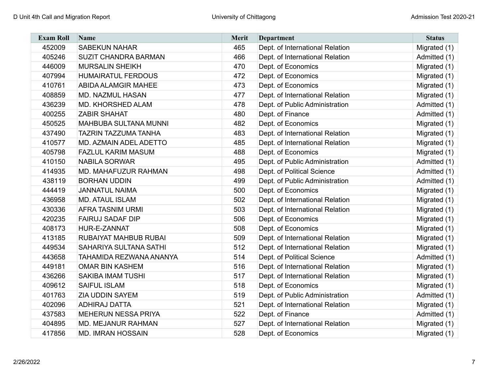| <b>Exam Roll</b> | <b>Name</b>                   | <b>Merit</b> | <b>Department</b>               | <b>Status</b> |
|------------------|-------------------------------|--------------|---------------------------------|---------------|
| 452009           | <b>SABEKUN NAHAR</b>          | 465          | Dept. of International Relation | Migrated (1)  |
| 405246           | <b>SUZIT CHANDRA BARMAN</b>   | 466          | Dept. of International Relation | Admitted (1)  |
| 446009           | <b>MURSALIN SHEIKH</b>        | 470          | Dept. of Economics              | Migrated (1)  |
| 407994           | <b>HUMAIRATUL FERDOUS</b>     | 472          | Dept. of Economics              | Migrated (1)  |
| 410761           | <b>ABIDA ALAMGIR MAHEE</b>    | 473          | Dept. of Economics              | Migrated (1)  |
| 408859           | <b>MD. NAZMUL HASAN</b>       | 477          | Dept. of International Relation | Migrated (1)  |
| 436239           | <b>MD. KHORSHED ALAM</b>      | 478          | Dept. of Public Administration  | Admitted (1)  |
| 400255           | <b>ZABIR SHAHAT</b>           | 480          | Dept. of Finance                | Admitted (1)  |
| 450525           | MAHBUBA SULTANA MUNNI         | 482          | Dept. of Economics              | Migrated (1)  |
| 437490           | <b>TAZRIN TAZZUMA TANHA</b>   | 483          | Dept. of International Relation | Migrated (1)  |
| 410577           | <b>MD. AZMAIN ADEL ADETTO</b> | 485          | Dept. of International Relation | Migrated (1)  |
| 405798           | <b>FAZLUL KARIM MASUM</b>     | 488          | Dept. of Economics              | Migrated (1)  |
| 410150           | <b>NABILA SORWAR</b>          | 495          | Dept. of Public Administration  | Admitted (1)  |
| 414935           | <b>MD. MAHAFUZUR RAHMAN</b>   | 498          | Dept. of Political Science      | Admitted (1)  |
| 438119           | <b>BORHAN UDDIN</b>           | 499          | Dept. of Public Administration  | Admitted (1)  |
| 444419           | <b>JANNATUL NAIMA</b>         | 500          | Dept. of Economics              | Migrated (1)  |
| 436958           | <b>MD. ATAUL ISLAM</b>        | 502          | Dept. of International Relation | Migrated (1)  |
| 430336           | <b>AFRA TASNIM URMI</b>       | 503          | Dept. of International Relation | Migrated (1)  |
| 420235           | <b>FAIRUJ SADAF DIP</b>       | 506          | Dept. of Economics              | Migrated (1)  |
| 408173           | HUR-E-ZANNAT                  | 508          | Dept. of Economics              | Migrated (1)  |
| 413185           | RUBAIYAT MAHBUB RUBAI         | 509          | Dept. of International Relation | Migrated (1)  |
| 449534           | SAHARIYA SULTANA SATHI        | 512          | Dept. of International Relation | Migrated (1)  |
| 443658           | TAHAMIDA REZWANA ANANYA       | 514          | Dept. of Political Science      | Admitted (1)  |
| 449181           | <b>OMAR BIN KASHEM</b>        | 516          | Dept. of International Relation | Migrated (1)  |
| 436266           | <b>SAKIBA IMAM TUSHI</b>      | 517          | Dept. of International Relation | Migrated (1)  |
| 409612           | <b>SAIFUL ISLAM</b>           | 518          | Dept. of Economics              | Migrated (1)  |
| 401763           | <b>ZIA UDDIN SAYEM</b>        | 519          | Dept. of Public Administration  | Admitted (1)  |
| 402096           | <b>ADHIRAJ DATTA</b>          | 521          | Dept. of International Relation | Migrated (1)  |
| 437583           | <b>MEHERUN NESSA PRIYA</b>    | 522          | Dept. of Finance                | Admitted (1)  |
| 404895           | MD. MEJANUR RAHMAN            | 527          | Dept. of International Relation | Migrated (1)  |
| 417856           | <b>MD. IMRAN HOSSAIN</b>      | 528          | Dept. of Economics              | Migrated (1)  |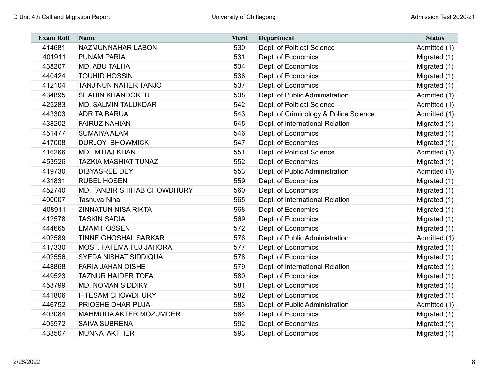| <b>Exam Roll</b> | Name                         | <b>Merit</b> | <b>Department</b>                     | <b>Status</b> |
|------------------|------------------------------|--------------|---------------------------------------|---------------|
| 414681           | NAZMUNNAHAR LABONI           | 530          | Dept. of Political Science            | Admitted (1)  |
| 401911           | <b>PUNAM PARIAL</b>          | 531          | Dept. of Economics                    | Migrated (1)  |
| 438207           | MD. ABU TALHA                | 534          | Dept. of Economics                    | Migrated (1)  |
| 440424           | <b>TOUHID HOSSIN</b>         | 536          | Dept. of Economics                    | Migrated (1)  |
| 412104           | <b>TANJINUN NAHER TANJO</b>  | 537          | Dept. of Economics                    | Migrated (1)  |
| 434895           | <b>SHAHIN KHANDOKER</b>      | 538          | Dept. of Public Administration        | Admitted (1)  |
| 425283           | <b>MD. SALMIN TALUKDAR</b>   | 542          | Dept. of Political Science            | Admitted (1)  |
| 443303           | <b>ADRITA BARUA</b>          | 543          | Dept. of Criminology & Police Science | Admitted (1)  |
| 438202           | <b>FAIRUZ NAHIAN</b>         | 545          | Dept. of International Relation       | Migrated (1)  |
| 451477           | <b>SUMAIYA ALAM</b>          | 546          | Dept. of Economics                    | Migrated (1)  |
| 417008           | <b>DURJOY BHOWMICK</b>       | 547          | Dept. of Economics                    | Migrated (1)  |
| 416266           | <b>MD. IMTIAJ KHAN</b>       | 551          | Dept. of Political Science            | Admitted (1)  |
| 453526           | <b>TAZKIA MASHIAT TUNAZ</b>  | 552          | Dept. of Economics                    | Migrated (1)  |
| 419730           | <b>DIBYASREE DEY</b>         | 553          | Dept. of Public Administration        | Admitted (1)  |
| 431831           | <b>RUBEL HOSEN</b>           | 559          | Dept. of Economics                    | Migrated (1)  |
| 452740           | MD. TANBIR SHIHAB CHOWDHURY  | 560          | Dept. of Economics                    | Migrated (1)  |
| 400007           | Tasnuva Niha                 | 565          | Dept. of International Relation       | Migrated (1)  |
| 408911           | <b>ZINNATUN NISA RIKTA</b>   | 568          | Dept. of Economics                    | Migrated (1)  |
| 412578           | <b>TASKIN SADIA</b>          | 569          | Dept. of Economics                    | Migrated (1)  |
| 444665           | <b>EMAM HOSSEN</b>           | 572          | Dept. of Economics                    | Migrated (1)  |
| 402589           | <b>TINNE GHOSHAL SARKAR</b>  | 576          | Dept. of Public Administration        | Admitted (1)  |
| 417330           | MOST. FATEMA TUJ JAHORA      | 577          | Dept. of Economics                    | Migrated (1)  |
| 402556           | <b>SYEDA NISHAT SIDDIQUA</b> | 578          | Dept. of Economics                    | Migrated (1)  |
| 448868           | <b>FARIA JAHAN OISHE</b>     | 579          | Dept. of International Relation       | Migrated (1)  |
| 449523           | <b>TAZNUR HAIDER TOFA</b>    | 580          | Dept. of Economics                    | Migrated (1)  |
| 453799           | <b>MD. NOMAN SIDDIKY</b>     | 581          | Dept. of Economics                    | Migrated (1)  |
| 441806           | <b>IFTESAM CHOWDHURY</b>     | 582          | Dept. of Economics                    | Migrated (1)  |
| 446752           | PRIOSHE DHAR PUJA            | 583          | Dept. of Public Administration        | Admitted (1)  |
| 403084           | MAHMUDA AKTER MOZUMDER       | 584          | Dept. of Economics                    | Migrated (1)  |
| 405572           | <b>SAIVA SUBRENA</b>         | 592          | Dept. of Economics                    | Migrated (1)  |
| 433507           | <b>MUNNA AKTHER</b>          | 593          | Dept. of Economics                    | Migrated (1)  |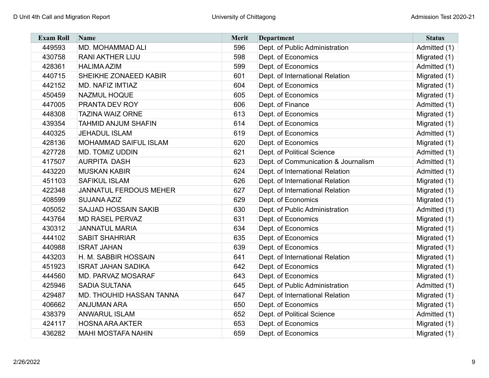| <b>Exam Roll</b> | Name                          | <b>Merit</b> | <b>Department</b>                   | <b>Status</b> |
|------------------|-------------------------------|--------------|-------------------------------------|---------------|
| 449593           | MD. MOHAMMAD ALI              | 596          | Dept. of Public Administration      | Admitted (1)  |
| 430758           | <b>RANI AKTHER LIJU</b>       | 598          | Dept. of Economics                  | Migrated (1)  |
| 428361           | <b>HALIMA AZIM</b>            | 599          | Dept. of Economics                  | Admitted (1)  |
| 440715           | SHEIKHE ZONAEED KABIR         | 601          | Dept. of International Relation     | Migrated (1)  |
| 442152           | <b>MD. NAFIZ IMTIAZ</b>       | 604          | Dept. of Economics                  | Migrated (1)  |
| 450459           | NAZMUL HOQUE                  | 605          | Dept. of Economics                  | Migrated (1)  |
| 447005           | PRANTA DEV ROY                | 606          | Dept. of Finance                    | Admitted (1)  |
| 448308           | <b>TAZINA WAIZ ORNE</b>       | 613          | Dept. of Economics                  | Migrated (1)  |
| 439354           | <b>TAHMID ANJUM SHAFIN</b>    | 614          | Dept. of Economics                  | Migrated (1)  |
| 440325           | <b>JEHADUL ISLAM</b>          | 619          | Dept. of Economics                  | Admitted (1)  |
| 428136           | MOHAMMAD SAIFUL ISLAM         | 620          | Dept. of Economics                  | Migrated (1)  |
| 427728           | <b>MD. TOMIZ UDDIN</b>        | 621          | Dept. of Political Science          | Admitted (1)  |
| 417507           | <b>AURPITA DASH</b>           | 623          | Dept. of Communication & Journalism | Admitted (1)  |
| 443220           | <b>MUSKAN KABIR</b>           | 624          | Dept. of International Relation     | Admitted (1)  |
| 451103           | <b>SAFIKUL ISLAM</b>          | 626          | Dept. of International Relation     | Migrated (1)  |
| 422348           | <b>JANNATUL FERDOUS MEHER</b> | 627          | Dept. of International Relation     | Migrated (1)  |
| 408599           | <b>SUJANA AZIZ</b>            | 629          | Dept. of Economics                  | Migrated (1)  |
| 405052           | <b>SAJJAD HOSSAIN SAKIB</b>   | 630          | Dept. of Public Administration      | Admitted (1)  |
| 443764           | <b>MD RASEL PERVAZ</b>        | 631          | Dept. of Economics                  | Migrated (1)  |
| 430312           | <b>JANNATUL MARIA</b>         | 634          | Dept. of Economics                  | Migrated (1)  |
| 444102           | <b>SABIT SHAHRIAR</b>         | 635          | Dept. of Economics                  | Migrated (1)  |
| 440988           | <b>ISRAT JAHAN</b>            | 639          | Dept. of Economics                  | Migrated (1)  |
| 443203           | H. M. SABBIR HOSSAIN          | 641          | Dept. of International Relation     | Migrated (1)  |
| 451923           | <b>ISRAT JAHAN SADIKA</b>     | 642          | Dept. of Economics                  | Migrated (1)  |
| 444560           | MD. PARVAZ MOSARAF            | 643          | Dept. of Economics                  | Migrated (1)  |
| 425946           | <b>SADIA SULTANA</b>          | 645          | Dept. of Public Administration      | Admitted (1)  |
| 429487           | MD. THOUHID HASSAN TANNA      | 647          | Dept. of International Relation     | Migrated (1)  |
| 406662           | <b>ANJUMAN ARA</b>            | 650          | Dept. of Economics                  | Migrated (1)  |
| 438379           | <b>ANWARUL ISLAM</b>          | 652          | Dept. of Political Science          | Admitted (1)  |
| 424117           | <b>HOSNA ARA AKTER</b>        | 653          | Dept. of Economics                  | Migrated (1)  |
| 436282           | <b>MAHI MOSTAFA NAHIN</b>     | 659          | Dept. of Economics                  | Migrated (1)  |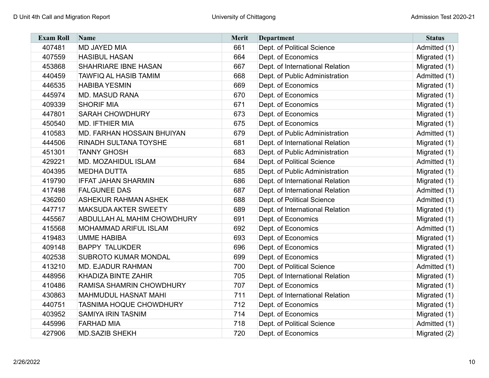| <b>Exam Roll</b> | Name                               | <b>Merit</b> | <b>Department</b>               | <b>Status</b> |
|------------------|------------------------------------|--------------|---------------------------------|---------------|
| 407481           | <b>MD JAYED MIA</b>                | 661          | Dept. of Political Science      | Admitted (1)  |
| 407559           | <b>HASIBUL HASAN</b>               | 664          | Dept. of Economics              | Migrated (1)  |
| 453868           | <b>SHAHRIARE IBNE HASAN</b>        | 667          | Dept. of International Relation | Migrated (1)  |
| 440459           | <b>TAWFIQ AL HASIB TAMIM</b>       | 668          | Dept. of Public Administration  | Admitted (1)  |
| 446535           | <b>HABIBA YESMIN</b>               | 669          | Dept. of Economics              | Migrated (1)  |
| 445974           | <b>MD. MASUD RANA</b>              | 670          | Dept. of Economics              | Migrated (1)  |
| 409339           | <b>SHORIF MIA</b>                  | 671          | Dept. of Economics              | Migrated (1)  |
| 447801           | <b>SARAH CHOWDHURY</b>             | 673          | Dept. of Economics              | Migrated (1)  |
| 450540           | <b>MD. IFTHIER MIA</b>             | 675          | Dept. of Economics              | Migrated (1)  |
| 410583           | <b>MD. FARHAN HOSSAIN BHUIYAN</b>  | 679          | Dept. of Public Administration  | Admitted (1)  |
| 444506           | <b>RINADH SULTANA TOYSHE</b>       | 681          | Dept. of International Relation | Migrated (1)  |
| 451301           | <b>TANNY GHOSH</b>                 | 683          | Dept. of Public Administration  | Migrated (1)  |
| 429221           | <b>MD. MOZAHIDUL ISLAM</b>         | 684          | Dept. of Political Science      | Admitted (1)  |
| 404395           | <b>MEDHA DUTTA</b>                 | 685          | Dept. of Public Administration  | Migrated (1)  |
| 419790           | <b>IFFAT JAHAN SHARMIN</b>         | 686          | Dept. of International Relation | Migrated (1)  |
| 417498           | <b>FALGUNEE DAS</b>                | 687          | Dept. of International Relation | Admitted (1)  |
| 436260           | <b>ASHEKUR RAHMAN ASHEK</b>        | 688          | Dept. of Political Science      | Admitted (1)  |
| 447717           | <b>MAKSUDA AKTER SWEETY</b>        | 689          | Dept. of International Relation | Migrated (1)  |
| 445567           | <b>ABDULLAH AL MAHIM CHOWDHURY</b> | 691          | Dept. of Economics              | Migrated (1)  |
| 415568           | <b>MOHAMMAD ARIFUL ISLAM</b>       | 692          | Dept. of Economics              | Admitted (1)  |
| 419483           | <b>UMME HABIBA</b>                 | 693          | Dept. of Economics              | Migrated (1)  |
| 409148           | <b>BAPPY TALUKDER</b>              | 696          | Dept. of Economics              | Migrated (1)  |
| 402538           | <b>SUBROTO KUMAR MONDAL</b>        | 699          | Dept. of Economics              | Migrated (1)  |
| 413210           | <b>MD. EJADUR RAHMAN</b>           | 700          | Dept. of Political Science      | Admitted (1)  |
| 448956           | <b>KHADIZA BINTE ZAHIR</b>         | 705          | Dept. of International Relation | Migrated (1)  |
| 410486           | <b>RAMISA SHAMRIN CHOWDHURY</b>    | 707          | Dept. of Economics              | Migrated (1)  |
| 430863           | <b>MAHMUDUL HASNAT MAHI</b>        | 711          | Dept. of International Relation | Migrated (1)  |
| 440751           | <b>TASNIMA HOQUE CHOWDHURY</b>     | 712          | Dept. of Economics              | Migrated (1)  |
| 403952           | <b>SAMIYA IRIN TASNIM</b>          | 714          | Dept. of Economics              | Migrated (1)  |
| 445996           | <b>FARHAD MIA</b>                  | 718          | Dept. of Political Science      | Admitted (1)  |
| 427906           | <b>MD.SAZIB SHEKH</b>              | 720          | Dept. of Economics              | Migrated (2)  |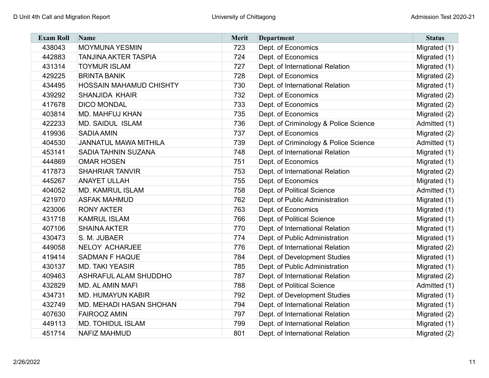| <b>Exam Roll</b> | Name                           | <b>Merit</b> | <b>Department</b>                     | <b>Status</b> |
|------------------|--------------------------------|--------------|---------------------------------------|---------------|
| 438043           | <b>MOYMUNA YESMIN</b>          | 723          | Dept. of Economics                    | Migrated (1)  |
| 442883           | <b>TANJINA AKTER TASPIA</b>    | 724          | Dept. of Economics                    | Migrated (1)  |
| 431314           | <b>TOYMUR ISLAM</b>            | 727          | Dept. of International Relation       | Migrated (1)  |
| 429225           | <b>BRINTA BANIK</b>            | 728          | Dept. of Economics                    | Migrated (2)  |
| 434495           | <b>HOSSAIN MAHAMUD CHISHTY</b> | 730          | Dept. of International Relation       | Migrated (1)  |
| 439292           | <b>SHANJIDA KHAIR</b>          | 732          | Dept. of Economics                    | Migrated (2)  |
| 417678           | <b>DICO MONDAL</b>             | 733          | Dept. of Economics                    | Migrated (2)  |
| 403814           | MD. MAHFUJ KHAN                | 735          | Dept. of Economics                    | Migrated (2)  |
| 422233           | <b>MD. SAIDUL ISLAM</b>        | 736          | Dept. of Criminology & Police Science | Admitted (1)  |
| 419936           | <b>SADIA AMIN</b>              | 737          | Dept. of Economics                    | Migrated (2)  |
| 404530           | <b>JANNATUL MAWA MITHILA</b>   | 739          | Dept. of Criminology & Police Science | Admitted (1)  |
| 453141           | SADIA TAHNIN SUZANA            | 748          | Dept. of International Relation       | Migrated (1)  |
| 444869           | <b>OMAR HOSEN</b>              | 751          | Dept. of Economics                    | Migrated (1)  |
| 417873           | <b>SHAHRIAR TANVIR</b>         | 753          | Dept. of International Relation       | Migrated (2)  |
| 445267           | <b>ANAYET ULLAH</b>            | 755          | Dept. of Economics                    | Migrated (1)  |
| 404052           | <b>MD. KAMRUL ISLAM</b>        | 758          | Dept. of Political Science            | Admitted (1)  |
| 421970           | <b>ASFAK MAHMUD</b>            | 762          | Dept. of Public Administration        | Migrated (1)  |
| 423006           | <b>RONY AKTER</b>              | 763          | Dept. of Economics                    | Migrated (1)  |
| 431718           | <b>KAMRUL ISLAM</b>            | 766          | Dept. of Political Science            | Migrated (1)  |
| 407106           | <b>SHAINA AKTER</b>            | 770          | Dept. of International Relation       | Migrated (1)  |
| 430473           | S. M. JUBAER                   | 774          | Dept. of Public Administration        | Migrated (1)  |
| 449058           | <b>NELOY ACHARJEE</b>          | 776          | Dept. of International Relation       | Migrated (2)  |
| 419414           | <b>SADMAN F HAQUE</b>          | 784          | Dept. of Development Studies          | Migrated (1)  |
| 430137           | <b>MD. TAKI YEASIR</b>         | 785          | Dept. of Public Administration        | Migrated (1)  |
| 409463           | <b>ASHRAFUL ALAM SHUDDHO</b>   | 787          | Dept. of International Relation       | Migrated (2)  |
| 432829           | MD. AL AMIN MAFI               | 788          | Dept. of Political Science            | Admitted (1)  |
| 434731           | <b>MD. HUMAYUN KABIR</b>       | 792          | Dept. of Development Studies          | Migrated (1)  |
| 432749           | MD. MEHADI HASAN SHOHAN        | 794          | Dept. of International Relation       | Migrated (1)  |
| 407630           | <b>FAIROOZ AMIN</b>            | 797          | Dept. of International Relation       | Migrated (2)  |
| 449113           | <b>MD. TOHIDUL ISLAM</b>       | 799          | Dept. of International Relation       | Migrated (1)  |
| 451714           | <b>NAFIZ MAHMUD</b>            | 801          | Dept. of International Relation       | Migrated (2)  |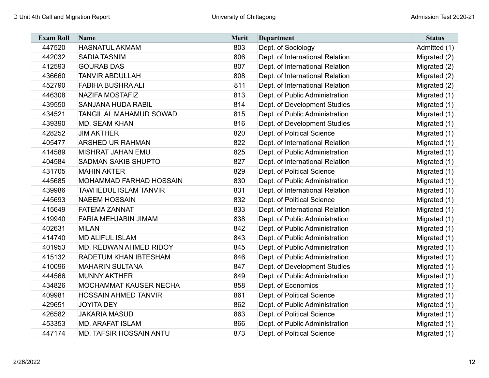| <b>Exam Roll</b> | <b>Name</b>                    | <b>Merit</b> | <b>Department</b>               | <b>Status</b> |
|------------------|--------------------------------|--------------|---------------------------------|---------------|
| 447520           | <b>HASNATUL AKMAM</b>          | 803          | Dept. of Sociology              | Admitted (1)  |
| 442032           | <b>SADIA TASNIM</b>            | 806          | Dept. of International Relation | Migrated (2)  |
| 412593           | <b>GOURAB DAS</b>              | 807          | Dept. of International Relation | Migrated (2)  |
| 436660           | <b>TANVIR ABDULLAH</b>         | 808          | Dept. of International Relation | Migrated (2)  |
| 452790           | <b>FABIHA BUSHRA ALI</b>       | 811          | Dept. of International Relation | Migrated (2)  |
| 446308           | <b>NAZIFA MOSTAFIZ</b>         | 813          | Dept. of Public Administration  | Migrated (1)  |
| 439550           | <b>SANJANA HUDA RABIL</b>      | 814          | Dept. of Development Studies    | Migrated (1)  |
| 434521           | TANGIL AL MAHAMUD SOWAD        | 815          | Dept. of Public Administration  | Migrated (1)  |
| 439390           | MD. SEAM KHAN                  | 816          | Dept. of Development Studies    | Migrated (1)  |
| 428252           | <b>JIM AKTHER</b>              | 820          | Dept. of Political Science      | Migrated (1)  |
| 405477           | <b>ARSHED UR RAHMAN</b>        | 822          | Dept. of International Relation | Migrated (1)  |
| 414589           | <b>MISHRAT JAHAN EMU</b>       | 825          | Dept. of Public Administration  | Migrated (1)  |
| 404584           | <b>SADMAN SAKIB SHUPTO</b>     | 827          | Dept. of International Relation | Migrated (1)  |
| 431705           | <b>MAHIN AKTER</b>             | 829          | Dept. of Political Science      | Migrated (1)  |
| 445685           | MOHAMMAD FARHAD HOSSAIN        | 830          | Dept. of Public Administration  | Migrated (1)  |
| 439986           | <b>TAWHEDUL ISLAM TANVIR</b>   | 831          | Dept. of International Relation | Migrated (1)  |
| 445693           | <b>NAEEM HOSSAIN</b>           | 832          | Dept. of Political Science      | Migrated (1)  |
| 415649           | <b>FATEMA ZANNAT</b>           | 833          | Dept. of International Relation | Migrated (1)  |
| 419940           | FARIA MEHJABIN JIMAM           | 838          | Dept. of Public Administration  | Migrated (1)  |
| 402631           | <b>MILAN</b>                   | 842          | Dept. of Public Administration  | Migrated (1)  |
| 414740           | <b>MD ALIFUL ISLAM</b>         | 843          | Dept. of Public Administration  | Migrated (1)  |
| 401953           | MD. REDWAN AHMED RIDOY         | 845          | Dept. of Public Administration  | Migrated (1)  |
| 415132           | RADETUM KHAN IBTESHAM          | 846          | Dept. of Public Administration  | Migrated (1)  |
| 410096           | <b>MAHARIN SULTANA</b>         | 847          | Dept. of Development Studies    | Migrated (1)  |
| 444566           | <b>MUNNY AKTHER</b>            | 849          | Dept. of Public Administration  | Migrated (1)  |
| 434826           | MOCHAMMAT KAUSER NECHA         | 858          | Dept. of Economics              | Migrated (1)  |
| 409981           | <b>HOSSAIN AHMED TANVIR</b>    | 861          | Dept. of Political Science      | Migrated (1)  |
| 429651           | <b>JOYITA DEY</b>              | 862          | Dept. of Public Administration  | Migrated (1)  |
| 426582           | <b>JAKARIA MASUD</b>           | 863          | Dept. of Political Science      | Migrated (1)  |
| 453353           | <b>MD. ARAFAT ISLAM</b>        | 866          | Dept. of Public Administration  | Migrated (1)  |
| 447174           | <b>MD. TAFSIR HOSSAIN ANTU</b> | 873          | Dept. of Political Science      | Migrated (1)  |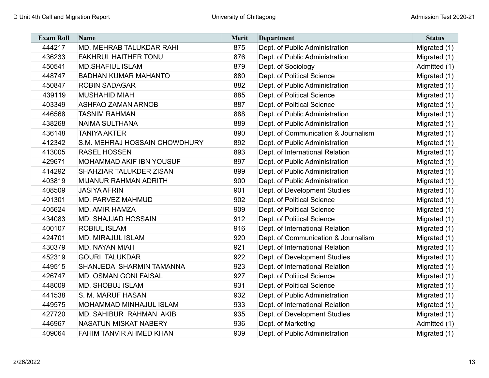| <b>Exam Roll</b> | Name                           | <b>Merit</b> | <b>Department</b>                   | <b>Status</b> |
|------------------|--------------------------------|--------------|-------------------------------------|---------------|
| 444217           | MD. MEHRAB TALUKDAR RAHI       | 875          | Dept. of Public Administration      | Migrated (1)  |
| 436233           | <b>FAKHRUL HAITHER TONU</b>    | 876          | Dept. of Public Administration      | Migrated (1)  |
| 450541           | <b>MD.SHAFIUL ISLAM</b>        | 879          | Dept. of Sociology                  | Admitted (1)  |
| 448747           | <b>BADHAN KUMAR MAHANTO</b>    | 880          | Dept. of Political Science          | Migrated (1)  |
| 450847           | <b>ROBIN SADAGAR</b>           | 882          | Dept. of Public Administration      | Migrated (1)  |
| 439119           | <b>MUSHAHID MIAH</b>           | 885          | Dept. of Political Science          | Migrated (1)  |
| 403349           | <b>ASHFAQ ZAMAN ARNOB</b>      | 887          | Dept. of Political Science          | Migrated (1)  |
| 446568           | <b>TASNIM RAHMAN</b>           | 888          | Dept. of Public Administration      | Migrated (1)  |
| 438268           | <b>NAIMA SULTHANA</b>          | 889          | Dept. of Public Administration      | Migrated (1)  |
| 436148           | <b>TANIYA AKTER</b>            | 890          | Dept. of Communication & Journalism | Migrated (1)  |
| 412342           | S.M. MEHRAJ HOSSAIN CHOWDHURY  | 892          | Dept. of Public Administration      | Migrated (1)  |
| 413005           | <b>RASEL HOSSEN</b>            | 893          | Dept. of International Relation     | Migrated (1)  |
| 429671           | MOHAMMAD AKIF IBN YOUSUF       | 897          | Dept. of Public Administration      | Migrated (1)  |
| 414292           | SHAHZIAR TALUKDER ZISAN        | 899          | Dept. of Public Administration      | Migrated (1)  |
| 403819           | MIJANUR RAHMAN ADRITH          | 900          | Dept. of Public Administration      | Migrated (1)  |
| 408509           | <b>JASIYA AFRIN</b>            | 901          | Dept. of Development Studies        | Migrated (1)  |
| 401301           | MD. PARVEZ MAHMUD              | 902          | Dept. of Political Science          | Migrated (1)  |
| 405624           | <b>MD. AMIR HAMZA</b>          | 909          | Dept. of Political Science          | Migrated (1)  |
| 434083           | <b>MD. SHAJJAD HOSSAIN</b>     | 912          | Dept. of Political Science          | Migrated (1)  |
| 400107           | <b>ROBIUL ISLAM</b>            | 916          | Dept. of International Relation     | Migrated (1)  |
| 424701           | <b>MD. MIRAJUL ISLAM</b>       | 920          | Dept. of Communication & Journalism | Migrated (1)  |
| 430379           | <b>MD. NAYAN MIAH</b>          | 921          | Dept. of International Relation     | Migrated (1)  |
| 452319           | <b>GOURI TALUKDAR</b>          | 922          | Dept. of Development Studies        | Migrated (1)  |
| 449515           | SHANJEDA SHARMIN TAMANNA       | 923          | Dept. of International Relation     | Migrated (1)  |
| 426747           | MD. OSMAN GONI FAISAL          | 927          | Dept. of Political Science          | Migrated (1)  |
| 448009           | MD. SHOBUJ ISLAM               | 931          | Dept. of Political Science          | Migrated (1)  |
| 441538           | S. M. MARUF HASAN              | 932          | Dept. of Public Administration      | Migrated (1)  |
| 449575           | MOHAMMAD MINHAJUL ISLAM        | 933          | Dept. of International Relation     | Migrated (1)  |
| 427720           | MD. SAHIBUR RAHMAN AKIB        | 935          | Dept. of Development Studies        | Migrated (1)  |
| 446967           | <b>NASATUN MISKAT NABERY</b>   | 936          | Dept. of Marketing                  | Admitted (1)  |
| 409064           | <b>FAHIM TANVIR AHMED KHAN</b> | 939          | Dept. of Public Administration      | Migrated (1)  |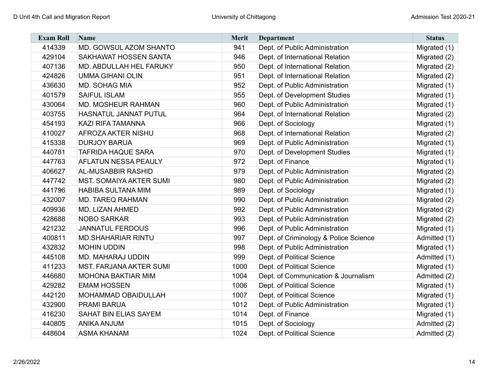| <b>Exam Roll</b> | Name                           | <b>Merit</b> | <b>Department</b>                     | <b>Status</b> |
|------------------|--------------------------------|--------------|---------------------------------------|---------------|
| 414339           | MD. GOWSUL AZOM SHANTO         | 941          | Dept. of Public Administration        | Migrated (1)  |
| 429104           | SAKHAWAT HOSSEN SANTA          | 946          | Dept. of International Relation       | Migrated (2)  |
| 407136           | MD. ABDULLAH HEL FARUKY        | 950          | Dept. of International Relation       | Migrated (2)  |
| 424826           | <b>UMMA GIHANI OLIN</b>        | 951          | Dept. of International Relation       | Migrated (2)  |
| 436630           | <b>MD. SOHAG MIA</b>           | 952          | Dept. of Public Administration        | Migrated (1)  |
| 401579           | <b>SAIFUL ISLAM</b>            | 955          | Dept. of Development Studies          | Migrated (1)  |
| 430064           | MD. MOSHEUR RAHMAN             | 960          | Dept. of Public Administration        | Migrated (1)  |
| 403755           | HASNATUL JANNAT PUTUL          | 964          | Dept. of International Relation       | Migrated (2)  |
| 454193           | KAZI RIFA TAMANNA              | 966          | Dept. of Sociology                    | Migrated (1)  |
| 410027           | <b>AFROZA AKTER NISHU</b>      | 968          | Dept. of International Relation       | Migrated (2)  |
| 415338           | <b>DURJOY BARUA</b>            | 969          | Dept. of Public Administration        | Migrated (1)  |
| 440781           | <b>TAFRIDA HAQUE SARA</b>      | 970          | Dept. of Development Studies          | Migrated (1)  |
| 447763           | <b>AFLATUN NESSA PEAULY</b>    | 972          | Dept. of Finance                      | Migrated (1)  |
| 406627           | <b>AL-MUSABBIR RASHID</b>      | 979          | Dept. of Public Administration        | Migrated (2)  |
| 447742           | <b>MST. SOMAIYA AKTER SUMI</b> | 980          | Dept. of Public Administration        | Migrated (2)  |
| 441796           | <b>HABIBA SULTANA MIM</b>      | 989          | Dept. of Sociology                    | Migrated (1)  |
| 432007           | <b>MD. TAREQ RAHMAN</b>        | 990          | Dept. of Public Administration        | Migrated (2)  |
| 409936           | MD. LIZAN AHMED                | 992          | Dept. of Public Administration        | Migrated (2)  |
| 428688           | <b>NOBO SARKAR</b>             | 993          | Dept. of Public Administration        | Migrated (2)  |
| 421232           | <b>JANNATUL FERDOUS</b>        | 996          | Dept. of Public Administration        | Migrated (1)  |
| 400811           | <b>MD.SHAHARIAR RINTU</b>      | 997          | Dept. of Criminology & Police Science | Admitted (1)  |
| 432832           | <b>MOHIN UDDIN</b>             | 998          | Dept. of Public Administration        | Migrated (1)  |
| 445108           | MD. MAHARAJ UDDIN              | 999          | Dept. of Political Science            | Admitted (1)  |
| 411233           | <b>MST. FARJANA AKTER SUMI</b> | 1000         | Dept. of Political Science            | Migrated (1)  |
| 446680           | <b>MOHONA BAKTIAR MIM</b>      | 1004         | Dept. of Communication & Journalism   | Admitted (2)  |
| 429282           | <b>EMAM HOSSEN</b>             | 1006         | Dept. of Political Science            | Migrated (1)  |
| 442120           | MOHAMMAD OBAIDULLAH            | 1007         | Dept. of Political Science            | Migrated (1)  |
| 432900           | <b>PRAMI BARUA</b>             | 1012         | Dept. of Public Administration        | Migrated (1)  |
| 416230           | SAHAT BIN ELIAS SAYEM          | 1014         | Dept. of Finance                      | Migrated (1)  |
| 440805           | <b>ANIKA ANJUM</b>             | 1015         | Dept. of Sociology                    | Admitted (2)  |
| 448604           | <b>ASMA KHANAM</b>             | 1024         | Dept. of Political Science            | Admitted (2)  |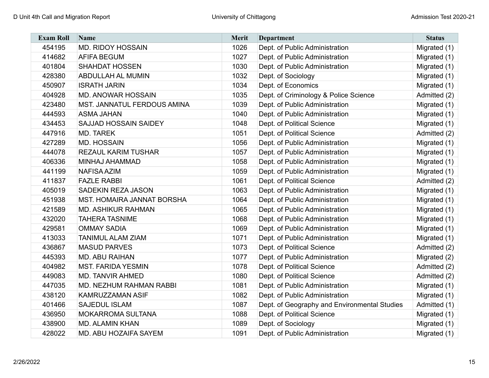| <b>Exam Roll</b> | <b>Name</b>                  | <b>Merit</b> | <b>Department</b>                            | <b>Status</b> |
|------------------|------------------------------|--------------|----------------------------------------------|---------------|
| 454195           | <b>MD. RIDOY HOSSAIN</b>     | 1026         | Dept. of Public Administration               | Migrated (1)  |
| 414682           | <b>AFIFA BEGUM</b>           | 1027         | Dept. of Public Administration               | Migrated (1)  |
| 401804           | <b>SHAHDAT HOSSEN</b>        | 1030         | Dept. of Public Administration               | Migrated (1)  |
| 428380           | <b>ABDULLAH AL MUMIN</b>     | 1032         | Dept. of Sociology                           | Migrated (1)  |
| 450907           | <b>ISRATH JARIN</b>          | 1034         | Dept. of Economics                           | Migrated (1)  |
| 404928           | <b>MD. ANOWAR HOSSAIN</b>    | 1035         | Dept. of Criminology & Police Science        | Admitted (2)  |
| 423480           | MST. JANNATUL FERDOUS AMINA  | 1039         | Dept. of Public Administration               | Migrated (1)  |
| 444593           | <b>ASMA JAHAN</b>            | 1040         | Dept. of Public Administration               | Migrated (1)  |
| 434453           | <b>SAJJAD HOSSAIN SAIDEY</b> | 1048         | Dept. of Political Science                   | Migrated (1)  |
| 447916           | <b>MD. TAREK</b>             | 1051         | Dept. of Political Science                   | Admitted (2)  |
| 427289           | <b>MD. HOSSAIN</b>           | 1056         | Dept. of Public Administration               | Migrated (1)  |
| 444078           | <b>REZAUL KARIM TUSHAR</b>   | 1057         | Dept. of Public Administration               | Migrated (1)  |
| 406336           | MINHAJ AHAMMAD               | 1058         | Dept. of Public Administration               | Migrated (1)  |
| 441199           | <b>NAFISA AZIM</b>           | 1059         | Dept. of Public Administration               | Migrated (1)  |
| 411837           | <b>FAZLE RABBI</b>           | 1061         | Dept. of Political Science                   | Admitted (2)  |
| 405019           | <b>SADEKIN REZA JASON</b>    | 1063         | Dept. of Public Administration               | Migrated (1)  |
| 451938           | MST. HOMAIRA JANNAT BORSHA   | 1064         | Dept. of Public Administration               | Migrated (1)  |
| 421589           | <b>MD. ASHIKUR RAHMAN</b>    | 1065         | Dept. of Public Administration               | Migrated (1)  |
| 432020           | <b>TAHERA TASNIME</b>        | 1068         | Dept. of Public Administration               | Migrated (1)  |
| 429581           | <b>OMMAY SADIA</b>           | 1069         | Dept. of Public Administration               | Migrated (1)  |
| 413033           | <b>TANIMUL ALAM ZIAM</b>     | 1071         | Dept. of Public Administration               | Migrated (1)  |
| 436867           | <b>MASUD PARVES</b>          | 1073         | Dept. of Political Science                   | Admitted (2)  |
| 445393           | <b>MD. ABU RAIHAN</b>        | 1077         | Dept. of Public Administration               | Migrated (2)  |
| 404982           | <b>MST. FARIDA YESMIN</b>    | 1078         | Dept. of Political Science                   | Admitted (2)  |
| 449083           | <b>MD. TANVIR AHMED</b>      | 1080         | Dept. of Political Science                   | Admitted (2)  |
| 447035           | MD. NEZHUM RAHMAN RABBI      | 1081         | Dept. of Public Administration               | Migrated (1)  |
| 438120           | KAMRUZZAMAN ASIF             | 1082         | Dept. of Public Administration               | Migrated (1)  |
| 401466           | <b>SAJEDUL ISLAM</b>         | 1087         | Dept. of Geography and Environmental Studies | Admitted (1)  |
| 436950           | <b>MOKARROMA SULTANA</b>     | 1088         | Dept. of Political Science                   | Migrated (1)  |
| 438900           | <b>MD. ALAMIN KHAN</b>       | 1089         | Dept. of Sociology                           | Migrated (1)  |
| 428022           | MD. ABU HOZAIFA SAYEM        | 1091         | Dept. of Public Administration               | Migrated (1)  |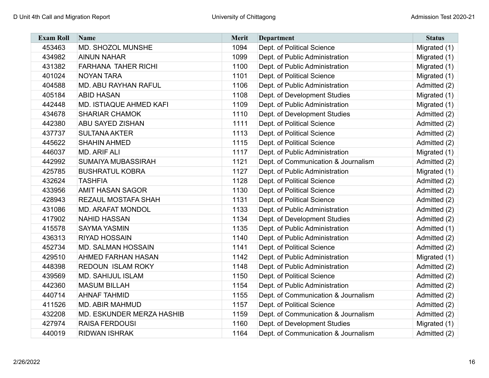| <b>Exam Roll</b> | Name                        | <b>Merit</b> | <b>Department</b>                   | <b>Status</b> |
|------------------|-----------------------------|--------------|-------------------------------------|---------------|
| 453463           | MD. SHOZOL MUNSHE           | 1094         | Dept. of Political Science          | Migrated (1)  |
| 434982           | <b>AINUN NAHAR</b>          | 1099         | Dept. of Public Administration      | Migrated (1)  |
| 431382           | <b>FARHANA TAHER RICHI</b>  | 1100         | Dept. of Public Administration      | Migrated (1)  |
| 401024           | <b>NOYAN TARA</b>           | 1101         | Dept. of Political Science          | Migrated (1)  |
| 404588           | <b>MD. ABU RAYHAN RAFUL</b> | 1106         | Dept. of Public Administration      | Admitted (2)  |
| 405184           | <b>ABID HASAN</b>           | 1108         | Dept. of Development Studies        | Migrated (1)  |
| 442448           | MD. ISTIAQUE AHMED KAFI     | 1109         | Dept. of Public Administration      | Migrated (1)  |
| 434678           | <b>SHARIAR CHAMOK</b>       | 1110         | Dept. of Development Studies        | Admitted (2)  |
| 442380           | <b>ABU SAYED ZISHAN</b>     | 1111         | Dept. of Political Science          | Admitted (2)  |
| 437737           | <b>SULTANA AKTER</b>        | 1113         | Dept. of Political Science          | Admitted (2)  |
| 445622           | <b>SHAHIN AHMED</b>         | 1115         | Dept. of Political Science          | Admitted (2)  |
| 446037           | <b>MD. ARIF ALI</b>         | 1117         | Dept. of Public Administration      | Migrated (1)  |
| 442992           | <b>SUMAIYA MUBASSIRAH</b>   | 1121         | Dept. of Communication & Journalism | Admitted (2)  |
| 425785           | <b>BUSHRATUL KOBRA</b>      | 1127         | Dept. of Public Administration      | Migrated (1)  |
| 432624           | <b>TASHFIA</b>              | 1128         | Dept. of Political Science          | Admitted (2)  |
| 433956           | <b>AMIT HASAN SAGOR</b>     | 1130         | Dept. of Political Science          | Admitted (2)  |
| 428943           | <b>REZAUL MOSTAFA SHAH</b>  | 1131         | Dept. of Political Science          | Admitted (2)  |
| 431086           | <b>MD. ARAFAT MONDOL</b>    | 1133         | Dept. of Public Administration      | Admitted (2)  |
| 417902           | <b>NAHID HASSAN</b>         | 1134         | Dept. of Development Studies        | Admitted (2)  |
| 415578           | <b>SAYMA YASMIN</b>         | 1135         | Dept. of Public Administration      | Admitted (1)  |
| 436313           | <b>RIYAD HOSSAIN</b>        | 1140         | Dept. of Public Administration      | Admitted (2)  |
| 452734           | <b>MD. SALMAN HOSSAIN</b>   | 1141         | Dept. of Political Science          | Admitted (2)  |
| 429510           | <b>AHMED FARHAN HASAN</b>   | 1142         | Dept. of Public Administration      | Migrated (1)  |
| 448398           | REDOUN ISLAM ROKY           | 1148         | Dept. of Public Administration      | Admitted (2)  |
| 439569           | <b>MD. SAHIJUL ISLAM</b>    | 1150         | Dept. of Political Science          | Admitted (2)  |
| 442360           | <b>MASUM BILLAH</b>         | 1154         | Dept. of Public Administration      | Admitted (2)  |
| 440714           | <b>AHNAF TAHMID</b>         | 1155         | Dept. of Communication & Journalism | Admitted (2)  |
| 411526           | <b>MD. ABIR MAHMUD</b>      | 1157         | Dept. of Political Science          | Admitted (2)  |
| 432208           | MD. ESKUNDER MERZA HASHIB   | 1159         | Dept. of Communication & Journalism | Admitted (2)  |
| 427974           | <b>RAISA FERDOUSI</b>       | 1160         | Dept. of Development Studies        | Migrated (1)  |
| 440019           | <b>RIDWAN ISHRAK</b>        | 1164         | Dept. of Communication & Journalism | Admitted (2)  |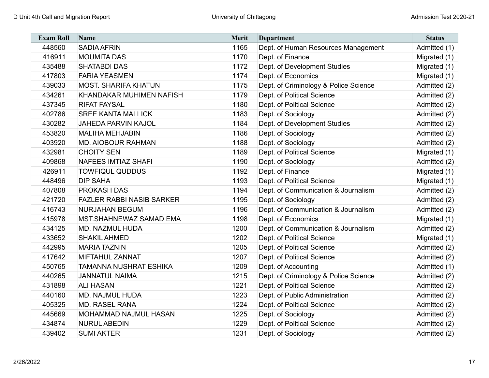| <b>Exam Roll</b> | Name                             | <b>Merit</b> | <b>Department</b>                     | <b>Status</b> |
|------------------|----------------------------------|--------------|---------------------------------------|---------------|
| 448560           | <b>SADIA AFRIN</b>               | 1165         | Dept. of Human Resources Management   | Admitted (1)  |
| 416911           | <b>MOUMITA DAS</b>               | 1170         | Dept. of Finance                      | Migrated (1)  |
| 435488           | <b>SHATABDI DAS</b>              | 1172         | Dept. of Development Studies          | Migrated (1)  |
| 417803           | <b>FARIA YEASMEN</b>             | 1174         | Dept. of Economics                    | Migrated (1)  |
| 439033           | <b>MOST. SHARIFA KHATUN</b>      | 1175         | Dept. of Criminology & Police Science | Admitted (2)  |
| 434261           | KHANDAKAR MUHIMEN NAFISH         | 1179         | Dept. of Political Science            | Admitted (2)  |
| 437345           | <b>RIFAT FAYSAL</b>              | 1180         | Dept. of Political Science            | Admitted (2)  |
| 402786           | <b>SREE KANTA MALLICK</b>        | 1183         | Dept. of Sociology                    | Admitted (2)  |
| 430282           | <b>JAHEDA PARVIN KAJOL</b>       | 1184         | Dept. of Development Studies          | Admitted (2)  |
| 453820           | <b>MALIHA MEHJABIN</b>           | 1186         | Dept. of Sociology                    | Admitted (2)  |
| 403920           | <b>MD. AIOBOUR RAHMAN</b>        | 1188         | Dept. of Sociology                    | Admitted (2)  |
| 432981           | <b>CHOITY SEN</b>                | 1189         | Dept. of Political Science            | Migrated (1)  |
| 409868           | <b>NAFEES IMTIAZ SHAFI</b>       | 1190         | Dept. of Sociology                    | Admitted (2)  |
| 426911           | <b>TOWFIQUL QUDDUS</b>           | 1192         | Dept. of Finance                      | Migrated (1)  |
| 448496           | <b>DIP SAHA</b>                  | 1193         | Dept. of Political Science            | Migrated (1)  |
| 407808           | <b>PROKASH DAS</b>               | 1194         | Dept. of Communication & Journalism   | Admitted (2)  |
| 421720           | <b>FAZLER RABBI NASIB SARKER</b> | 1195         | Dept. of Sociology                    | Admitted (2)  |
| 416743           | <b>NURJAHAN BEGUM</b>            | 1196         | Dept. of Communication & Journalism   | Admitted (2)  |
| 415978           | MST.SHAHNEWAZ SAMAD EMA          | 1198         | Dept. of Economics                    | Migrated (1)  |
| 434125           | MD. NAZMUL HUDA                  | 1200         | Dept. of Communication & Journalism   | Admitted (2)  |
| 433652           | <b>SHAKIL AHMED</b>              | 1202         | Dept. of Political Science            | Migrated (1)  |
| 442995           | <b>MARIA TAZNIN</b>              | 1205         | Dept. of Political Science            | Admitted (2)  |
| 417642           | <b>MIFTAHUL ZANNAT</b>           | 1207         | Dept. of Political Science            | Admitted (2)  |
| 450765           | <b>TAMANNA NUSHRAT ESHIKA</b>    | 1209         | Dept. of Accounting                   | Admitted (1)  |
| 440265           | <b>JANNATUL NAIMA</b>            | 1215         | Dept. of Criminology & Police Science | Admitted (2)  |
| 431898           | <b>ALI HASAN</b>                 | 1221         | Dept. of Political Science            | Admitted (2)  |
| 440160           | MD. NAJMUL HUDA                  | 1223         | Dept. of Public Administration        | Admitted (2)  |
| 405325           | <b>MD. RASEL RANA</b>            | 1224         | Dept. of Political Science            | Admitted (2)  |
| 445669           | MOHAMMAD NAJMUL HASAN            | 1225         | Dept. of Sociology                    | Admitted (2)  |
| 434874           | <b>NURUL ABEDIN</b>              | 1229         | Dept. of Political Science            | Admitted (2)  |
| 439402           | <b>SUMI AKTER</b>                | 1231         | Dept. of Sociology                    | Admitted (2)  |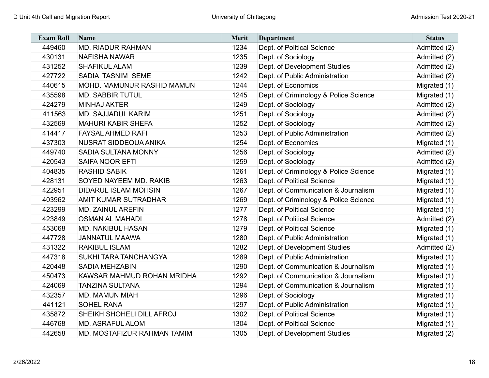| <b>Exam Roll</b> | <b>Name</b>                  | <b>Merit</b> | <b>Department</b>                     | <b>Status</b> |
|------------------|------------------------------|--------------|---------------------------------------|---------------|
| 449460           | <b>MD. RIADUR RAHMAN</b>     | 1234         | Dept. of Political Science            | Admitted (2)  |
| 430131           | <b>NAFISHA NAWAR</b>         | 1235         | Dept. of Sociology                    | Admitted (2)  |
| 431252           | <b>SHAFIKUL ALAM</b>         | 1239         | Dept. of Development Studies          | Admitted (2)  |
| 427722           | SADIA TASNIM SEME            | 1242         | Dept. of Public Administration        | Admitted (2)  |
| 440615           | MOHD. MAMUNUR RASHID MAMUN   | 1244         | Dept. of Economics                    | Migrated (1)  |
| 435598           | <b>MD. SABBIR TUTUL</b>      | 1245         | Dept. of Criminology & Police Science | Migrated (1)  |
| 424279           | <b>MINHAJ AKTER</b>          | 1249         | Dept. of Sociology                    | Admitted (2)  |
| 411563           | <b>MD. SAJJADUL KARIM</b>    | 1251         | Dept. of Sociology                    | Admitted (2)  |
| 432569           | <b>MAHURI KABIR SHEFA</b>    | 1252         | Dept. of Sociology                    | Admitted (2)  |
| 414417           | <b>FAYSAL AHMED RAFI</b>     | 1253         | Dept. of Public Administration        | Admitted (2)  |
| 437303           | NUSRAT SIDDEQUA ANIKA        | 1254         | Dept. of Economics                    | Migrated (1)  |
| 449740           | <b>SADIA SULTANA MONNY</b>   | 1256         | Dept. of Sociology                    | Admitted (2)  |
| 420543           | <b>SAIFA NOOR EFTI</b>       | 1259         | Dept. of Sociology                    | Admitted (2)  |
| 404835           | <b>RASHID SABIK</b>          | 1261         | Dept. of Criminology & Police Science | Migrated (1)  |
| 428131           | SOYED NAYEEM MD. RAKIB       | 1263         | Dept. of Political Science            | Migrated (1)  |
| 422951           | <b>DIDARUL ISLAM MOHSIN</b>  | 1267         | Dept. of Communication & Journalism   | Migrated (1)  |
| 403962           | <b>AMIT KUMAR SUTRADHAR</b>  | 1269         | Dept. of Criminology & Police Science | Migrated (1)  |
| 423299           | <b>MD. ZAINUL AREFIN</b>     | 1277         | Dept. of Political Science            | Migrated (1)  |
| 423849           | <b>OSMAN AL MAHADI</b>       | 1278         | Dept. of Political Science            | Admitted (2)  |
| 453068           | <b>MD. NAKIBUL HASAN</b>     | 1279         | Dept. of Political Science            | Migrated (1)  |
| 447728           | <b>JANNATUL MAAWA</b>        | 1280         | Dept. of Public Administration        | Migrated (1)  |
| 431322           | <b>RAKIBUL ISLAM</b>         | 1282         | Dept. of Development Studies          | Admitted (2)  |
| 447318           | <b>SUKHI TARA TANCHANGYA</b> | 1289         | Dept. of Public Administration        | Migrated (1)  |
| 420448           | <b>SADIA MEHZABIN</b>        | 1290         | Dept. of Communication & Journalism   | Migrated (1)  |
| 450473           | KAWSAR MAHMUD ROHAN MRIDHA   | 1292         | Dept. of Communication & Journalism   | Migrated (1)  |
| 424069           | <b>TANZINA SULTANA</b>       | 1294         | Dept. of Communication & Journalism   | Migrated (1)  |
| 432357           | <b>MD. MAMUN MIAH</b>        | 1296         | Dept. of Sociology                    | Migrated (1)  |
| 441121           | <b>SOHEL RANA</b>            | 1297         | Dept. of Public Administration        | Migrated (1)  |
| 435872           | SHEIKH SHOHELI DILL AFROJ    | 1302         | Dept. of Political Science            | Migrated (1)  |
| 446768           | <b>MD. ASRAFUL ALOM</b>      | 1304         | Dept. of Political Science            | Migrated (1)  |
| 442658           | MD. MOSTAFIZUR RAHMAN TAMIM  | 1305         | Dept. of Development Studies          | Migrated (2)  |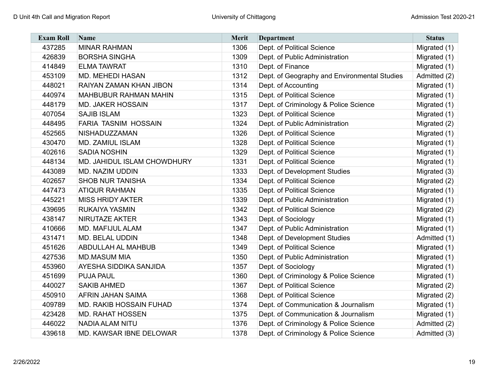| <b>Exam Roll</b> | Name                           | Merit | <b>Department</b>                            | <b>Status</b> |
|------------------|--------------------------------|-------|----------------------------------------------|---------------|
| 437285           | <b>MINAR RAHMAN</b>            | 1306  | Dept. of Political Science                   | Migrated (1)  |
| 426839           | <b>BORSHA SINGHA</b>           | 1309  | Dept. of Public Administration               | Migrated (1)  |
| 414849           | <b>ELMA TAWRAT</b>             | 1310  | Dept. of Finance                             | Migrated (1)  |
| 453109           | <b>MD. MEHEDI HASAN</b>        | 1312  | Dept. of Geography and Environmental Studies | Admitted (2)  |
| 448021           | RAIYAN ZAMAN KHAN JIBON        | 1314  | Dept. of Accounting                          | Migrated (1)  |
| 440974           | <b>MAHBUBUR RAHMAN MAHIN</b>   | 1315  | Dept. of Political Science                   | Migrated (1)  |
| 448179           | <b>MD. JAKER HOSSAIN</b>       | 1317  | Dept. of Criminology & Police Science        | Migrated (1)  |
| 407054           | <b>SAJIB ISLAM</b>             | 1323  | Dept. of Political Science                   | Migrated (1)  |
| 448495           | FARIA TASNIM HOSSAIN           | 1324  | Dept. of Public Administration               | Migrated (2)  |
| 452565           | NISHADUZZAMAN                  | 1326  | Dept. of Political Science                   | Migrated (1)  |
| 430470           | <b>MD. ZAMIUL ISLAM</b>        | 1328  | Dept. of Political Science                   | Migrated (1)  |
| 402616           | <b>SADIA NOSHIN</b>            | 1329  | Dept. of Political Science                   | Migrated (1)  |
| 448134           | MD. JAHIDUL ISLAM CHOWDHURY    | 1331  | Dept. of Political Science                   | Migrated (1)  |
| 443089           | MD. NAZIM UDDIN                | 1333  | Dept. of Development Studies                 | Migrated (3)  |
| 402657           | <b>SHOB NUR TANISHA</b>        | 1334  | Dept. of Political Science                   | Migrated (2)  |
| 447473           | <b>ATIQUR RAHMAN</b>           | 1335  | Dept. of Political Science                   | Migrated (1)  |
| 445221           | <b>MISS HRIDY AKTER</b>        | 1339  | Dept. of Public Administration               | Migrated (1)  |
| 439695           | RUKAIYA YASMIN                 | 1342  | Dept. of Political Science                   | Migrated (2)  |
| 438147           | <b>NIRUTAZE AKTER</b>          | 1343  | Dept. of Sociology                           | Migrated (1)  |
| 410666           | MD. MAFIJUL ALAM               | 1347  | Dept. of Public Administration               | Migrated (1)  |
| 431471           | <b>MD. BELAL UDDIN</b>         | 1348  | Dept. of Development Studies                 | Admitted (1)  |
| 451626           | <b>ABDULLAH AL MAHBUB</b>      | 1349  | Dept. of Political Science                   | Migrated (1)  |
| 427536           | <b>MD.MASUM MIA</b>            | 1350  | Dept. of Public Administration               | Migrated (1)  |
| 453960           | <b>AYESHA SIDDIKA SANJIDA</b>  | 1357  | Dept. of Sociology                           | Migrated (1)  |
| 451699           | <b>PUJA PAUL</b>               | 1360  | Dept. of Criminology & Police Science        | Migrated (1)  |
| 440027           | <b>SAKIB AHMED</b>             | 1367  | Dept. of Political Science                   | Migrated (2)  |
| 450910           | AFRIN JAHAN SAIMA              | 1368  | Dept. of Political Science                   | Migrated (2)  |
| 409789           | <b>MD. RAKIB HOSSAIN FUHAD</b> | 1374  | Dept. of Communication & Journalism          | Migrated (1)  |
| 423428           | <b>MD. RAHAT HOSSEN</b>        | 1375  | Dept. of Communication & Journalism          | Migrated (1)  |
| 446022           | <b>NADIA ALAM NITU</b>         | 1376  | Dept. of Criminology & Police Science        | Admitted (2)  |
| 439618           | MD. KAWSAR IBNE DELOWAR        | 1378  | Dept. of Criminology & Police Science        | Admitted (3)  |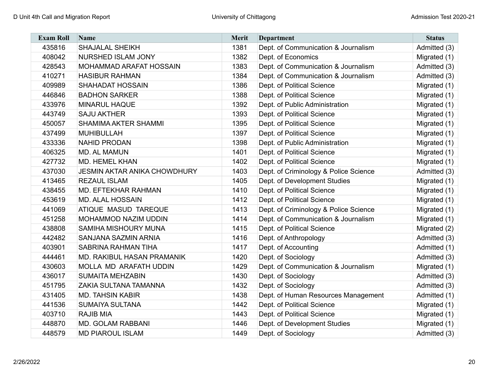| <b>Exam Roll</b> | <b>Name</b>                         | <b>Merit</b> | <b>Department</b>                     | <b>Status</b> |
|------------------|-------------------------------------|--------------|---------------------------------------|---------------|
| 435816           | <b>SHAJALAL SHEIKH</b>              | 1381         | Dept. of Communication & Journalism   | Admitted (3)  |
| 408042           | <b>NURSHED ISLAM JONY</b>           | 1382         | Dept. of Economics                    | Migrated (1)  |
| 428543           | <b>MOHAMMAD ARAFAT HOSSAIN</b>      | 1383         | Dept. of Communication & Journalism   | Admitted (3)  |
| 410271           | <b>HASIBUR RAHMAN</b>               | 1384         | Dept. of Communication & Journalism   | Admitted (3)  |
| 409989           | <b>SHAHADAT HOSSAIN</b>             | 1386         | Dept. of Political Science            | Migrated (1)  |
| 446846           | <b>BADHON SARKER</b>                | 1388         | Dept. of Political Science            | Migrated (1)  |
| 433976           | <b>MINARUL HAQUE</b>                | 1392         | Dept. of Public Administration        | Migrated (1)  |
| 443749           | <b>SAJU AKTHER</b>                  | 1393         | Dept. of Political Science            | Migrated (1)  |
| 450057           | <b>SHAMIMA AKTER SHAMMI</b>         | 1395         | Dept. of Political Science            | Migrated (1)  |
| 437499           | <b>MUHIBULLAH</b>                   | 1397         | Dept. of Political Science            | Migrated (1)  |
| 433336           | <b>NAHID PRODAN</b>                 | 1398         | Dept. of Public Administration        | Migrated (1)  |
| 406325           | <b>MD. AL MAMUN</b>                 | 1401         | Dept. of Political Science            | Migrated (1)  |
| 427732           | <b>MD. HEMEL KHAN</b>               | 1402         | Dept. of Political Science            | Migrated (1)  |
| 437030           | <b>JESMIN AKTAR ANIKA CHOWDHURY</b> | 1403         | Dept. of Criminology & Police Science | Admitted (3)  |
| 413465           | <b>REZAUL ISLAM</b>                 | 1405         | Dept. of Development Studies          | Migrated (1)  |
| 438455           | <b>MD. EFTEKHAR RAHMAN</b>          | 1410         | Dept. of Political Science            | Migrated (1)  |
| 453619           | <b>MD. ALAL HOSSAIN</b>             | 1412         | Dept. of Political Science            | Migrated (1)  |
| 441069           | ATIQUE MASUD TAREQUE                | 1413         | Dept. of Criminology & Police Science | Migrated (1)  |
| 451258           | <b>MOHAMMOD NAZIM UDDIN</b>         | 1414         | Dept. of Communication & Journalism   | Migrated (1)  |
| 438808           | <b>SAMIHA MISHOURY MUNA</b>         | 1415         | Dept. of Political Science            | Migrated (2)  |
| 442482           | <b>SANJANA SAZMIN ARNIA</b>         | 1416         | Dept. of Anthropology                 | Admitted (3)  |
| 403901           | <b>SABRINA RAHMAN TIHA</b>          | 1417         | Dept. of Accounting                   | Admitted (1)  |
| 444461           | MD. RAKIBUL HASAN PRAMANIK          | 1420         | Dept. of Sociology                    | Admitted (3)  |
| 430603           | MOLLA MD ARAFATH UDDIN              | 1429         | Dept. of Communication & Journalism   | Migrated (1)  |
| 436017           | <b>SUMAITA MEHZABIN</b>             | 1430         | Dept. of Sociology                    | Admitted (3)  |
| 451795           | <b>ZAKIA SULTANA TAMANNA</b>        | 1432         | Dept. of Sociology                    | Admitted (3)  |
| 431405           | <b>MD. TAHSIN KABIR</b>             | 1438         | Dept. of Human Resources Management   | Admitted (1)  |
| 441536           | <b>SUMAIYA SULTANA</b>              | 1442         | Dept. of Political Science            | Migrated (1)  |
| 403710           | <b>RAJIB MIA</b>                    | 1443         | Dept. of Political Science            | Migrated (1)  |
| 448870           | <b>MD. GOLAM RABBANI</b>            | 1446         | Dept. of Development Studies          | Migrated (1)  |
| 448579           | <b>MD PIAROUL ISLAM</b>             | 1449         | Dept. of Sociology                    | Admitted (3)  |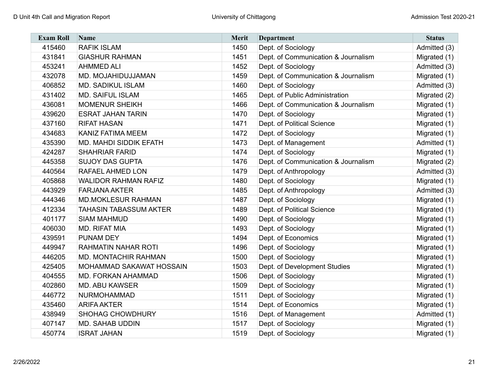| <b>Exam Roll</b> | <b>Name</b>                   | <b>Merit</b> | <b>Department</b>                   | <b>Status</b> |
|------------------|-------------------------------|--------------|-------------------------------------|---------------|
| 415460           | <b>RAFIK ISLAM</b>            | 1450         | Dept. of Sociology                  | Admitted (3)  |
| 431841           | <b>GIASHUR RAHMAN</b>         | 1451         | Dept. of Communication & Journalism | Migrated (1)  |
| 453241           | <b>AHMMED ALI</b>             | 1452         | Dept. of Sociology                  | Admitted (3)  |
| 432078           | MD. MOJAHIDUJJAMAN            | 1459         | Dept. of Communication & Journalism | Migrated (1)  |
| 406852           | <b>MD. SADIKUL ISLAM</b>      | 1460         | Dept. of Sociology                  | Admitted (3)  |
| 431402           | <b>MD. SAIFUL ISLAM</b>       | 1465         | Dept. of Public Administration      | Migrated (2)  |
| 436081           | <b>MOMENUR SHEIKH</b>         | 1466         | Dept. of Communication & Journalism | Migrated (1)  |
| 439620           | <b>ESRAT JAHAN TARIN</b>      | 1470         | Dept. of Sociology                  | Migrated (1)  |
| 437160           | <b>RIFAT HASAN</b>            | 1471         | Dept. of Political Science          | Migrated (1)  |
| 434683           | <b>KANIZ FATIMA MEEM</b>      | 1472         | Dept. of Sociology                  | Migrated (1)  |
| 435390           | <b>MD. MAHDI SIDDIK EFATH</b> | 1473         | Dept. of Management                 | Admitted (1)  |
| 424287           | <b>SHAHRIAR FARID</b>         | 1474         | Dept. of Sociology                  | Migrated (1)  |
| 445358           | <b>SUJOY DAS GUPTA</b>        | 1476         | Dept. of Communication & Journalism | Migrated (2)  |
| 440564           | RAFAEL AHMED LON              | 1479         | Dept. of Anthropology               | Admitted (3)  |
| 405868           | <b>WALIDOR RAHMAN RAFIZ</b>   | 1480         | Dept. of Sociology                  | Migrated (1)  |
| 443929           | <b>FARJANA AKTER</b>          | 1485         | Dept. of Anthropology               | Admitted (3)  |
| 444346           | <b>MD.MOKLESUR RAHMAN</b>     | 1487         | Dept. of Sociology                  | Migrated (1)  |
| 412334           | <b>TAHASIN TABASSUM AKTER</b> | 1489         | Dept. of Political Science          | Migrated (1)  |
| 401177           | <b>SIAM MAHMUD</b>            | 1490         | Dept. of Sociology                  | Migrated (1)  |
| 406030           | <b>MD. RIFAT MIA</b>          | 1493         | Dept. of Sociology                  | Migrated (1)  |
| 439591           | <b>PUNAM DEY</b>              | 1494         | Dept. of Economics                  | Migrated (1)  |
| 449947           | <b>RAHMATIN NAHAR ROTI</b>    | 1496         | Dept. of Sociology                  | Migrated (1)  |
| 446205           | <b>MD. MONTACHIR RAHMAN</b>   | 1500         | Dept. of Sociology                  | Migrated (1)  |
| 425405           | MOHAMMAD SAKAWAT HOSSAIN      | 1503         | Dept. of Development Studies        | Migrated (1)  |
| 404555           | MD. FORKAN AHAMMAD            | 1506         | Dept. of Sociology                  | Migrated (1)  |
| 402860           | <b>MD. ABU KAWSER</b>         | 1509         | Dept. of Sociology                  | Migrated (1)  |
| 446772           | <b>NURMOHAMMAD</b>            | 1511         | Dept. of Sociology                  | Migrated (1)  |
| 435460           | <b>ARIFA AKTER</b>            | 1514         | Dept. of Economics                  | Migrated (1)  |
| 438949           | SHOHAG CHOWDHURY              | 1516         | Dept. of Management                 | Admitted (1)  |
| 407147           | MD. SAHAB UDDIN               | 1517         | Dept. of Sociology                  | Migrated (1)  |
| 450774           | <b>ISRAT JAHAN</b>            | 1519         | Dept. of Sociology                  | Migrated (1)  |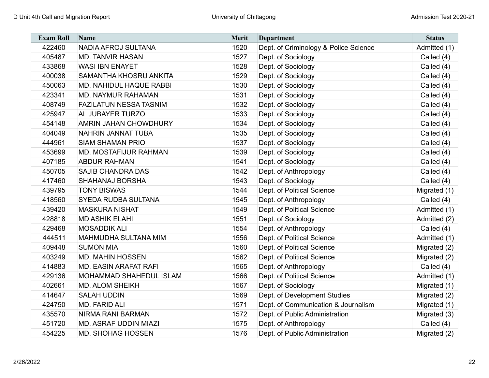| <b>Exam Roll</b> | <b>Name</b>                    | <b>Merit</b> | <b>Department</b>                     | <b>Status</b> |
|------------------|--------------------------------|--------------|---------------------------------------|---------------|
| 422460           | NADIA AFROJ SULTANA            | 1520         | Dept. of Criminology & Police Science | Admitted (1)  |
| 405487           | <b>MD. TANVIR HASAN</b>        | 1527         | Dept. of Sociology                    | Called (4)    |
| 433868           | <b>WASI IBN ENAYET</b>         | 1528         | Dept. of Sociology                    | Called (4)    |
| 400038           | SAMANTHA KHOSRU ANKITA         | 1529         | Dept. of Sociology                    | Called (4)    |
| 450063           | <b>MD. NAHIDUL HAQUE RABBI</b> | 1530         | Dept. of Sociology                    | Called (4)    |
| 423341           | <b>MD. NAYMUR RAHAMAN</b>      | 1531         | Dept. of Sociology                    | Called (4)    |
| 408749           | <b>FAZILATUN NESSA TASNIM</b>  | 1532         | Dept. of Sociology                    | Called (4)    |
| 425947           | AL JUBAYER TURZO               | 1533         | Dept. of Sociology                    | Called (4)    |
| 454148           | <b>AMRIN JAHAN CHOWDHURY</b>   | 1534         | Dept. of Sociology                    | Called (4)    |
| 404049           | NAHRIN JANNAT TUBA             | 1535         | Dept. of Sociology                    | Called (4)    |
| 444961           | <b>SIAM SHAMAN PRIO</b>        | 1537         | Dept. of Sociology                    | Called (4)    |
| 453699           | MD. MOSTAFIJUR RAHMAN          | 1539         | Dept. of Sociology                    | Called (4)    |
| 407185           | <b>ABDUR RAHMAN</b>            | 1541         | Dept. of Sociology                    | Called (4)    |
| 450705           | <b>SAJIB CHANDRA DAS</b>       | 1542         | Dept. of Anthropology                 | Called (4)    |
| 417460           | SHAHANAJ BORSHA                | 1543         | Dept. of Sociology                    | Called (4)    |
| 439795           | <b>TONY BISWAS</b>             | 1544         | Dept. of Political Science            | Migrated (1)  |
| 418560           | <b>SYEDA RUDBA SULTANA</b>     | 1545         | Dept. of Anthropology                 | Called (4)    |
| 439420           | <b>MASKURA NISHAT</b>          | 1549         | Dept. of Political Science            | Admitted (1)  |
| 428818           | <b>MD ASHIK ELAHI</b>          | 1551         | Dept. of Sociology                    | Admitted (2)  |
| 429468           | <b>MOSADDIK ALI</b>            | 1554         | Dept. of Anthropology                 | Called (4)    |
| 444511           | MAHMUDHA SULTANA MIM           | 1556         | Dept. of Political Science            | Admitted (1)  |
| 409448           | <b>SUMON MIA</b>               | 1560         | Dept. of Political Science            | Migrated (2)  |
| 403249           | <b>MD. MAHIN HOSSEN</b>        | 1562         | Dept. of Political Science            | Migrated (2)  |
| 414883           | <b>MD. EASIN ARAFAT RAFI</b>   | 1565         | Dept. of Anthropology                 | Called (4)    |
| 429136           | MOHAMMAD SHAHEDUL ISLAM        | 1566         | Dept. of Political Science            | Admitted (1)  |
| 402661           | <b>MD. ALOM SHEIKH</b>         | 1567         | Dept. of Sociology                    | Migrated (1)  |
| 414647           | <b>SALAH UDDIN</b>             | 1569         | Dept. of Development Studies          | Migrated (2)  |
| 424750           | MD. FARID ALI                  | 1571         | Dept. of Communication & Journalism   | Migrated (1)  |
| 435570           | NIRMA RANI BARMAN              | 1572         | Dept. of Public Administration        | Migrated (3)  |
| 451720           | MD. ASRAF UDDIN MIAZI          | 1575         | Dept. of Anthropology                 | Called (4)    |
| 454225           | <b>MD. SHOHAG HOSSEN</b>       | 1576         | Dept. of Public Administration        | Migrated (2)  |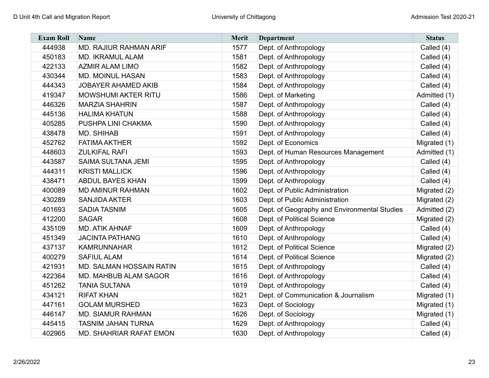| <b>Exam Roll</b> | Name                            | <b>Merit</b> | <b>Department</b>                            | <b>Status</b> |
|------------------|---------------------------------|--------------|----------------------------------------------|---------------|
| 444938           | MD. RAJIUR RAHMAN ARIF          | 1577         | Dept. of Anthropology                        | Called (4)    |
| 450183           | <b>MD. IKRAMUL ALAM</b>         | 1581         | Dept. of Anthropology                        | Called (4)    |
| 422133           | <b>AZMIR ALAM LIMO</b>          | 1582         | Dept. of Anthropology                        | Called (4)    |
| 430344           | <b>MD. MOINUL HASAN</b>         | 1583         | Dept. of Anthropology                        | Called (4)    |
| 444343           | <b>JOBAYER AHAMED AKIB</b>      | 1584         | Dept. of Anthropology                        | Called (4)    |
| 419347           | <b>MOWSHUMI AKTER RITU</b>      | 1586         | Dept. of Marketing                           | Admitted (1)  |
| 446326           | <b>MARZIA SHAHRIN</b>           | 1587         | Dept. of Anthropology                        | Called (4)    |
| 445136           | <b>HALIMA KHATUN</b>            | 1588         | Dept. of Anthropology                        | Called (4)    |
| 405285           | PUSHPA LINI CHAKMA              | 1590         | Dept. of Anthropology                        | Called (4)    |
| 438478           | <b>MD. SHIHAB</b>               | 1591         | Dept. of Anthropology                        | Called (4)    |
| 452762           | <b>FATIMA AKTHER</b>            | 1592         | Dept. of Economics                           | Migrated (1)  |
| 448603           | <b>ZULKIFAL RAFI</b>            | 1593         | Dept. of Human Resources Management          | Admitted (1)  |
| 443587           | SAIMA SULTANA JEMI              | 1595         | Dept. of Anthropology                        | Called (4)    |
| 444311           | <b>KRISTI MALLICK</b>           | 1596         | Dept. of Anthropology                        | Called (4)    |
| 438471           | <b>ABDUL BAYES KHAN</b>         | 1599         | Dept. of Anthropology                        | Called (4)    |
| 400089           | <b>MD AMINUR RAHMAN</b>         | 1602         | Dept. of Public Administration               | Migrated (2)  |
| 430289           | <b>SANJIDA AKTER</b>            | 1603         | Dept. of Public Administration               | Migrated (2)  |
| 401693           | <b>SADIA TASNIM</b>             | 1605         | Dept. of Geography and Environmental Studies | Admitted (2)  |
| 412200           | <b>SAGAR</b>                    | 1608         | Dept. of Political Science                   | Migrated (2)  |
| 435109           | <b>MD. ATIK AHNAF</b>           | 1609         | Dept. of Anthropology                        | Called (4)    |
| 451349           | <b>JACINTA PATHANG</b>          | 1610         | Dept. of Anthropology                        | Called (4)    |
| 437137           | <b>KAMRUNNAHAR</b>              | 1612         | Dept. of Political Science                   | Migrated (2)  |
| 400279           | <b>SAFIUL ALAM</b>              | 1614         | Dept. of Political Science                   | Migrated (2)  |
| 421931           | <b>MD. SALMAN HOSSAIN RATIN</b> | 1615         | Dept. of Anthropology                        | Called (4)    |
| 422364           | <b>MD. MAHBUB ALAM SAGOR</b>    | 1616         | Dept. of Anthropology                        | Called (4)    |
| 451262           | <b>TANIA SULTANA</b>            | 1619         | Dept. of Anthropology                        | Called (4)    |
| 434121           | <b>RIFAT KHAN</b>               | 1621         | Dept. of Communication & Journalism          | Migrated (1)  |
| 447161           | <b>GOLAM MURSHED</b>            | 1623         | Dept. of Sociology                           | Migrated (1)  |
| 446147           | <b>MD. SIAMUR RAHMAN</b>        | 1626         | Dept. of Sociology                           | Migrated (1)  |
| 445415           | <b>TASNIM JAHAN TURNA</b>       | 1629         | Dept. of Anthropology                        | Called (4)    |
| 402965           | <b>MD. SHAHRIAR RAFAT EMON</b>  | 1630         | Dept. of Anthropology                        | Called (4)    |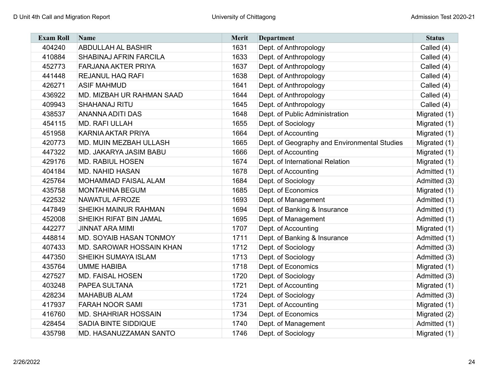| <b>Exam Roll</b> | Name                        | <b>Merit</b> | <b>Department</b>                            | <b>Status</b> |
|------------------|-----------------------------|--------------|----------------------------------------------|---------------|
| 404240           | <b>ABDULLAH AL BASHIR</b>   | 1631         | Dept. of Anthropology                        | Called (4)    |
| 410884           | SHABINAJ AFRIN FARCILA      | 1633         | Dept. of Anthropology                        | Called (4)    |
| 452773           | <b>FARJANA AKTER PRIYA</b>  | 1637         | Dept. of Anthropology                        | Called (4)    |
| 441448           | <b>REJANUL HAQ RAFI</b>     | 1638         | Dept. of Anthropology                        | Called (4)    |
| 426271           | <b>ASIF MAHMUD</b>          | 1641         | Dept. of Anthropology                        | Called (4)    |
| 436922           | MD. MIZBAH UR RAHMAN SAAD   | 1644         | Dept. of Anthropology                        | Called (4)    |
| 409943           | <b>SHAHANAJ RITU</b>        | 1645         | Dept. of Anthropology                        | Called (4)    |
| 438537           | <b>ANANNA ADITI DAS</b>     | 1648         | Dept. of Public Administration               | Migrated (1)  |
| 454115           | MD. RAFI ULLAH              | 1655         | Dept. of Sociology                           | Migrated (1)  |
| 451958           | <b>KARNIA AKTAR PRIYA</b>   | 1664         | Dept. of Accounting                          | Migrated (1)  |
| 420773           | MD. MUIN MEZBAH ULLASH      | 1665         | Dept. of Geography and Environmental Studies | Migrated (1)  |
| 447322           | MD. JAKARYA JASIM BABU      | 1666         | Dept. of Accounting                          | Migrated (1)  |
| 429176           | <b>MD. RABIUL HOSEN</b>     | 1674         | Dept. of International Relation              | Migrated (1)  |
| 404184           | <b>MD. NAHID HASAN</b>      | 1678         | Dept. of Accounting                          | Admitted (1)  |
| 425764           | MOHAMMAD FAISAL ALAM        | 1684         | Dept. of Sociology                           | Admitted (3)  |
| 435758           | <b>MONTAHINA BEGUM</b>      | 1685         | Dept. of Economics                           | Migrated (1)  |
| 422532           | <b>NAWATUL AFROZE</b>       | 1693         | Dept. of Management                          | Admitted (1)  |
| 447849           | SHEIKH MAINUR RAHMAN        | 1694         | Dept. of Banking & Insurance                 | Admitted (1)  |
| 452008           | SHEIKH RIFAT BIN JAMAL      | 1695         | Dept. of Management                          | Admitted (1)  |
| 442277           | <b>JINNAT ARA MIMI</b>      | 1707         | Dept. of Accounting                          | Migrated (1)  |
| 448814           | MD. SOYAIB HASAN TONMOY     | 1711         | Dept. of Banking & Insurance                 | Admitted (1)  |
| 407433           | MD. SAROWAR HOSSAIN KHAN    | 1712         | Dept. of Sociology                           | Admitted (3)  |
| 447350           | SHEIKH SUMAYA ISLAM         | 1713         | Dept. of Sociology                           | Admitted (3)  |
| 435764           | <b>UMME HABIBA</b>          | 1718         | Dept. of Economics                           | Migrated (1)  |
| 427527           | <b>MD. FAISAL HOSEN</b>     | 1720         | Dept. of Sociology                           | Admitted (3)  |
| 403248           | PAPEA SULTANA               | 1721         | Dept. of Accounting                          | Migrated (1)  |
| 428234           | <b>MAHABUB ALAM</b>         | 1724         | Dept. of Sociology                           | Admitted (3)  |
| 417937           | <b>FARAH NOOR SAMI</b>      | 1731         | Dept. of Accounting                          | Migrated (1)  |
| 416760           | <b>MD. SHAHRIAR HOSSAIN</b> | 1734         | Dept. of Economics                           | Migrated (2)  |
| 428454           | <b>SADIA BINTE SIDDIQUE</b> | 1740         | Dept. of Management                          | Admitted (1)  |
| 435798           | MD. HASANUZZAMAN SANTO      | 1746         | Dept. of Sociology                           | Migrated (1)  |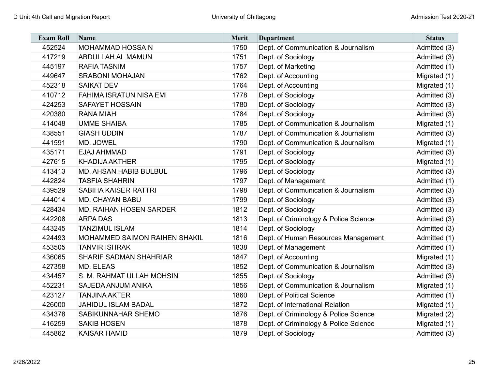| <b>Exam Roll</b> | <b>Name</b>                    | <b>Merit</b> | <b>Department</b>                     | <b>Status</b> |
|------------------|--------------------------------|--------------|---------------------------------------|---------------|
| 452524           | MOHAMMAD HOSSAIN               | 1750         | Dept. of Communication & Journalism   | Admitted (3)  |
| 417219           | <b>ABDULLAH AL MAMUN</b>       | 1751         | Dept. of Sociology                    | Admitted (3)  |
| 445197           | <b>RAFIA TASNIM</b>            | 1757         | Dept. of Marketing                    | Admitted (1)  |
| 449647           | <b>SRABONI MOHAJAN</b>         | 1762         | Dept. of Accounting                   | Migrated (1)  |
| 452318           | <b>SAIKAT DEV</b>              | 1764         | Dept. of Accounting                   | Migrated (1)  |
| 410712           | <b>FAHIMA ISRATUN NISA EMI</b> | 1778         | Dept. of Sociology                    | Admitted (3)  |
| 424253           | <b>SAFAYET HOSSAIN</b>         | 1780         | Dept. of Sociology                    | Admitted (3)  |
| 420380           | <b>RANA MIAH</b>               | 1784         | Dept. of Sociology                    | Admitted (3)  |
| 414048           | <b>UMME SHAIBA</b>             | 1785         | Dept. of Communication & Journalism   | Migrated (1)  |
| 438551           | <b>GIASH UDDIN</b>             | 1787         | Dept. of Communication & Journalism   | Admitted (3)  |
| 441591           | MD. JOWEL                      | 1790         | Dept. of Communication & Journalism   | Migrated (1)  |
| 435171           | EJAJ AHMMAD                    | 1791         | Dept. of Sociology                    | Admitted (3)  |
| 427615           | <b>KHADIJA AKTHER</b>          | 1795         | Dept. of Sociology                    | Migrated (1)  |
| 413413           | <b>MD. AHSAN HABIB BULBUL</b>  | 1796         | Dept. of Sociology                    | Admitted (3)  |
| 442824           | <b>TASFIA SHAHRIN</b>          | 1797         | Dept. of Management                   | Admitted (1)  |
| 439529           | <b>SABIHA KAISER RATTRI</b>    | 1798         | Dept. of Communication & Journalism   | Admitted (3)  |
| 444014           | <b>MD. CHAYAN BABU</b>         | 1799         | Dept. of Sociology                    | Admitted (3)  |
| 428434           | <b>MD. RAIHAN HOSEN SARDER</b> | 1812         | Dept. of Sociology                    | Admitted (3)  |
| 442208           | <b>ARPA DAS</b>                | 1813         | Dept. of Criminology & Police Science | Admitted (3)  |
| 443245           | <b>TANZIMUL ISLAM</b>          | 1814         | Dept. of Sociology                    | Admitted (3)  |
| 424493           | MOHAMMED SAIMON RAIHEN SHAKIL  | 1816         | Dept. of Human Resources Management   | Admitted (1)  |
| 453505           | <b>TANVIR ISHRAK</b>           | 1838         | Dept. of Management                   | Admitted (1)  |
| 436065           | <b>SHARIF SADMAN SHAHRIAR</b>  | 1847         | Dept. of Accounting                   | Migrated (1)  |
| 427358           | MD. ELEAS                      | 1852         | Dept. of Communication & Journalism   | Admitted (3)  |
| 434457           | S. M. RAHMAT ULLAH MOHSIN      | 1855         | Dept. of Sociology                    | Admitted (3)  |
| 452231           | SAJEDA ANJUM ANIKA             | 1856         | Dept. of Communication & Journalism   | Migrated (1)  |
| 423127           | <b>TANJINA AKTER</b>           | 1860         | Dept. of Political Science            | Admitted (1)  |
| 426000           | <b>JAHIDUL ISLAM BADAL</b>     | 1872         | Dept. of International Relation       | Migrated (1)  |
| 434378           | SABIKUNNAHAR SHEMO             | 1876         | Dept. of Criminology & Police Science | Migrated (2)  |
| 416259           | <b>SAKIB HOSEN</b>             | 1878         | Dept. of Criminology & Police Science | Migrated (1)  |
| 445862           | <b>KAISAR HAMID</b>            | 1879         | Dept. of Sociology                    | Admitted (3)  |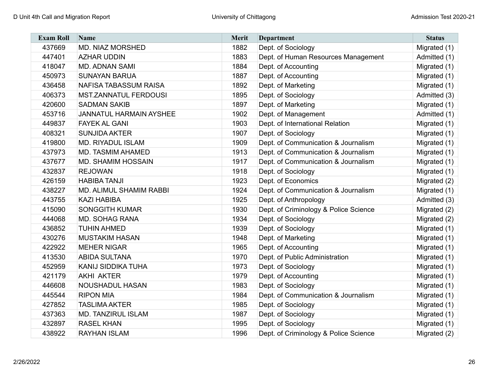| <b>Exam Roll</b> | <b>Name</b>                    | Merit | <b>Department</b>                     | <b>Status</b> |
|------------------|--------------------------------|-------|---------------------------------------|---------------|
| 437669           | <b>MD. NIAZ MORSHED</b>        | 1882  | Dept. of Sociology                    | Migrated (1)  |
| 447401           | <b>AZHAR UDDIN</b>             | 1883  | Dept. of Human Resources Management   | Admitted (1)  |
| 418047           | <b>MD. ADNAN SAMI</b>          | 1884  | Dept. of Accounting                   | Migrated (1)  |
| 450973           | <b>SUNAYAN BARUA</b>           | 1887  | Dept. of Accounting                   | Migrated (1)  |
| 436458           | <b>NAFISA TABASSUM RAISA</b>   | 1892  | Dept. of Marketing                    | Migrated (1)  |
| 406373           | <b>MST.ZANNATUL FERDOUSI</b>   | 1895  | Dept. of Sociology                    | Admitted (3)  |
| 420600           | <b>SADMAN SAKIB</b>            | 1897  | Dept. of Marketing                    | Migrated (1)  |
| 453716           | <b>JANNATUL HARMAIN AYSHEE</b> | 1902  | Dept. of Management                   | Admitted (1)  |
| 449837           | <b>FAYEK AL GANI</b>           | 1903  | Dept. of International Relation       | Migrated (1)  |
| 408321           | <b>SUNJIDA AKTER</b>           | 1907  | Dept. of Sociology                    | Migrated (1)  |
| 419800           | <b>MD. RIYADUL ISLAM</b>       | 1909  | Dept. of Communication & Journalism   | Migrated (1)  |
| 437973           | MD. TASMIM AHAMED              | 1913  | Dept. of Communication & Journalism   | Migrated (1)  |
| 437677           | MD. SHAMIM HOSSAIN             | 1917  | Dept. of Communication & Journalism   | Migrated (1)  |
| 432837           | <b>REJOWAN</b>                 | 1918  | Dept. of Sociology                    | Migrated (1)  |
| 426159           | <b>HABIBA TANJI</b>            | 1923  | Dept. of Economics                    | Migrated (2)  |
| 438227           | MD. ALIMUL SHAMIM RABBI        | 1924  | Dept. of Communication & Journalism   | Migrated (1)  |
| 443755           | <b>KAZI HABIBA</b>             | 1925  | Dept. of Anthropology                 | Admitted (3)  |
| 415090           | <b>SONGGITH KUMAR</b>          | 1930  | Dept. of Criminology & Police Science | Migrated (2)  |
| 444068           | <b>MD. SOHAG RANA</b>          | 1934  | Dept. of Sociology                    | Migrated (2)  |
| 436852           | <b>TUHIN AHMED</b>             | 1939  | Dept. of Sociology                    | Migrated (1)  |
| 430276           | <b>MUSTAKIM HASAN</b>          | 1948  | Dept. of Marketing                    | Migrated (1)  |
| 422922           | <b>MEHER NIGAR</b>             | 1965  | Dept. of Accounting                   | Migrated (1)  |
| 413530           | <b>ABIDA SULTANA</b>           | 1970  | Dept. of Public Administration        | Migrated (1)  |
| 452959           | KANIJ SIDDIKA TUHA             | 1973  | Dept. of Sociology                    | Migrated (1)  |
| 421179           | <b>AKHI AKTER</b>              | 1979  | Dept. of Accounting                   | Migrated (1)  |
| 446608           | NOUSHADUL HASAN                | 1983  | Dept. of Sociology                    | Migrated (1)  |
| 445544           | <b>RIPON MIA</b>               | 1984  | Dept. of Communication & Journalism   | Migrated (1)  |
| 427852           | <b>TASLIMA AKTER</b>           | 1985  | Dept. of Sociology                    | Migrated (1)  |
| 437363           | <b>MD. TANZIRUL ISLAM</b>      | 1987  | Dept. of Sociology                    | Migrated (1)  |
| 432897           | <b>RASEL KHAN</b>              | 1995  | Dept. of Sociology                    | Migrated (1)  |
| 438922           | <b>RAYHAN ISLAM</b>            | 1996  | Dept. of Criminology & Police Science | Migrated (2)  |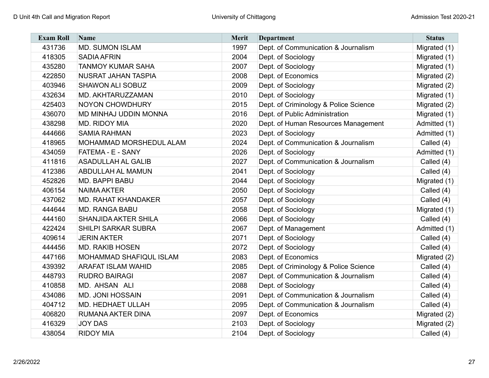| <b>Exam Roll</b> | Name                        | Merit | <b>Department</b>                     | <b>Status</b> |
|------------------|-----------------------------|-------|---------------------------------------|---------------|
| 431736           | <b>MD. SUMON ISLAM</b>      | 1997  | Dept. of Communication & Journalism   | Migrated (1)  |
| 418305           | <b>SADIA AFRIN</b>          | 2004  | Dept. of Sociology                    | Migrated (1)  |
| 435280           | <b>TANMOY KUMAR SAHA</b>    | 2007  | Dept. of Sociology                    | Migrated (1)  |
| 422850           | <b>NUSRAT JAHAN TASPIA</b>  | 2008  | Dept. of Economics                    | Migrated (2)  |
| 403946           | SHAWON ALI SOBUZ            | 2009  | Dept. of Sociology                    | Migrated (2)  |
| 432634           | MD. AKHTARUZZAMAN           | 2010  | Dept. of Sociology                    | Migrated (1)  |
| 425403           | <b>NOYON CHOWDHURY</b>      | 2015  | Dept. of Criminology & Police Science | Migrated (2)  |
| 436070           | MD MINHAJ UDDIN MONNA       | 2016  | Dept. of Public Administration        | Migrated (1)  |
| 438298           | MD. RIDOY MIA               | 2020  | Dept. of Human Resources Management   | Admitted (1)  |
| 444666           | <b>SAMIA RAHMAN</b>         | 2023  | Dept. of Sociology                    | Admitted (1)  |
| 418965           | MOHAMMAD MORSHEDUL ALAM     | 2024  | Dept. of Communication & Journalism   | Called (4)    |
| 434059           | FATEMA - E - SANY           | 2026  | Dept. of Sociology                    | Admitted (1)  |
| 411816           | <b>ASADULLAH AL GALIB</b>   | 2027  | Dept. of Communication & Journalism   | Called (4)    |
| 412386           | <b>ABDULLAH AL MAMUN</b>    | 2041  | Dept. of Sociology                    | Called (4)    |
| 452826           | <b>MD. BAPPI BABU</b>       | 2044  | Dept. of Sociology                    | Migrated (1)  |
| 406154           | <b>NAIMA AKTER</b>          | 2050  | Dept. of Sociology                    | Called (4)    |
| 437062           | <b>MD. RAHAT KHANDAKER</b>  | 2057  | Dept. of Sociology                    | Called (4)    |
| 444644           | <b>MD. RANGA BABU</b>       | 2058  | Dept. of Sociology                    | Migrated (1)  |
| 444160           | <b>SHANJIDA AKTER SHILA</b> | 2066  | Dept. of Sociology                    | Called (4)    |
| 422424           | <b>SHILPI SARKAR SUBRA</b>  | 2067  | Dept. of Management                   | Admitted (1)  |
| 409614           | <b>JERIN AKTER</b>          | 2071  | Dept. of Sociology                    | Called (4)    |
| 444456           | <b>MD. RAKIB HOSEN</b>      | 2072  | Dept. of Sociology                    | Called (4)    |
| 447166           | MOHAMMAD SHAFIQUL ISLAM     | 2083  | Dept. of Economics                    | Migrated (2)  |
| 439392           | <b>ARAFAT ISLAM WAHID</b>   | 2085  | Dept. of Criminology & Police Science | Called (4)    |
| 448793           | <b>RUDRO BAIRAGI</b>        | 2087  | Dept. of Communication & Journalism   | Called (4)    |
| 410858           | MD. AHSAN ALI               | 2088  | Dept. of Sociology                    | Called (4)    |
| 434086           | <b>MD. JONI HOSSAIN</b>     | 2091  | Dept. of Communication & Journalism   | Called (4)    |
| 404712           | MD. HEDHAET ULLAH           | 2095  | Dept. of Communication & Journalism   | Called (4)    |
| 406820           | <b>RUMANA AKTER DINA</b>    | 2097  | Dept. of Economics                    | Migrated (2)  |
| 416329           | <b>JOY DAS</b>              | 2103  | Dept. of Sociology                    | Migrated (2)  |
| 438054           | <b>RIDOY MIA</b>            | 2104  | Dept. of Sociology                    | Called (4)    |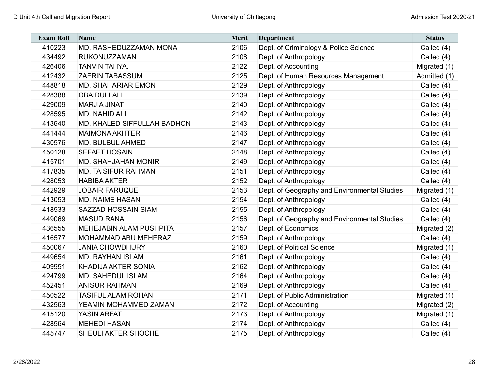| <b>Exam Roll</b> | <b>Name</b>                    | <b>Merit</b> | <b>Department</b>                            | <b>Status</b> |
|------------------|--------------------------------|--------------|----------------------------------------------|---------------|
| 410223           | MD. RASHEDUZZAMAN MONA         | 2106         | Dept. of Criminology & Police Science        | Called (4)    |
| 434492           | <b>RUKONUZZAMAN</b>            | 2108         | Dept. of Anthropology                        | Called (4)    |
| 426406           | TANVIN TAHYA.                  | 2122         | Dept. of Accounting                          | Migrated (1)  |
| 412432           | <b>ZAFRIN TABASSUM</b>         | 2125         | Dept. of Human Resources Management          | Admitted (1)  |
| 448818           | <b>MD. SHAHARIAR EMON</b>      | 2129         | Dept. of Anthropology                        | Called (4)    |
| 428388           | <b>OBAIDULLAH</b>              | 2139         | Dept. of Anthropology                        | Called (4)    |
| 429009           | <b>MARJIA JINAT</b>            | 2140         | Dept. of Anthropology                        | Called (4)    |
| 428595           | MD. NAHID ALI                  | 2142         | Dept. of Anthropology                        | Called (4)    |
| 413540           | MD. KHALED SIFFULLAH BADHON    | 2143         | Dept. of Anthropology                        | Called (4)    |
| 441444           | <b>MAIMONA AKHTER</b>          | 2146         | Dept. of Anthropology                        | Called (4)    |
| 430576           | MD. BULBUL AHMED               | 2147         | Dept. of Anthropology                        | Called (4)    |
| 450128           | <b>SEFAET HOSAIN</b>           | 2148         | Dept. of Anthropology                        | Called (4)    |
| 415701           | <b>MD. SHAHJAHAN MONIR</b>     | 2149         | Dept. of Anthropology                        | Called (4)    |
| 417835           | <b>MD. TAISIFUR RAHMAN</b>     | 2151         | Dept. of Anthropology                        | Called (4)    |
| 428053           | <b>HABIBA AKTER</b>            | 2152         | Dept. of Anthropology                        | Called (4)    |
| 442929           | <b>JOBAIR FARUQUE</b>          | 2153         | Dept. of Geography and Environmental Studies | Migrated (1)  |
| 413053           | <b>MD. NAIME HASAN</b>         | 2154         | Dept. of Anthropology                        | Called (4)    |
| 418533           | SAZZAD HOSSAIN SIAM            | 2155         | Dept. of Anthropology                        | Called (4)    |
| 449069           | <b>MASUD RANA</b>              | 2156         | Dept. of Geography and Environmental Studies | Called (4)    |
| 436555           | <b>MEHEJABIN ALAM PUSHPITA</b> | 2157         | Dept. of Economics                           | Migrated (2)  |
| 416577           | MOHAMMAD ABU MEHERAZ           | 2159         | Dept. of Anthropology                        | Called (4)    |
| 450067           | <b>JANIA CHOWDHURY</b>         | 2160         | Dept. of Political Science                   | Migrated (1)  |
| 449654           | <b>MD. RAYHAN ISLAM</b>        | 2161         | Dept. of Anthropology                        | Called (4)    |
| 409951           | <b>KHADIJA AKTER SONIA</b>     | 2162         | Dept. of Anthropology                        | Called (4)    |
| 424799           | <b>MD. SAHEDUL ISLAM</b>       | 2164         | Dept. of Anthropology                        | Called (4)    |
| 452451           | <b>ANISUR RAHMAN</b>           | 2169         | Dept. of Anthropology                        | Called (4)    |
| 450522           | <b>TASIFUL ALAM ROHAN</b>      | 2171         | Dept. of Public Administration               | Migrated (1)  |
| 432563           | YEAMIN MOHAMMED ZAMAN          | 2172         | Dept. of Accounting                          | Migrated (2)  |
| 415120           | <b>YASIN ARFAT</b>             | 2173         | Dept. of Anthropology                        | Migrated (1)  |
| 428564           | <b>MEHEDI HASAN</b>            | 2174         | Dept. of Anthropology                        | Called (4)    |
| 445747           | SHEULI AKTER SHOCHE            | 2175         | Dept. of Anthropology                        | Called (4)    |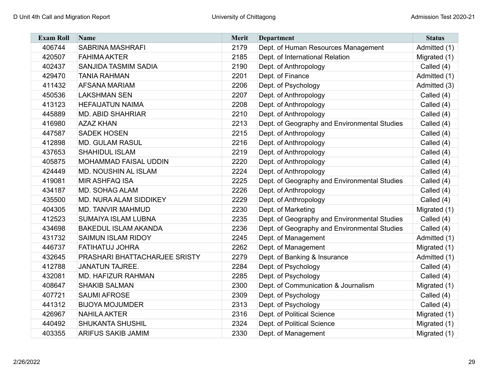| <b>Exam Roll</b> | <b>Name</b>                   | <b>Merit</b> | <b>Department</b>                            | <b>Status</b> |
|------------------|-------------------------------|--------------|----------------------------------------------|---------------|
| 406744           | <b>SABRINA MASHRAFI</b>       | 2179         | Dept. of Human Resources Management          | Admitted (1)  |
| 420507           | <b>FAHIMA AKTER</b>           | 2185         | Dept. of International Relation              | Migrated (1)  |
| 402437           | SANJIDA TASMIM SADIA          | 2190         | Dept. of Anthropology                        | Called (4)    |
| 429470           | <b>TANIA RAHMAN</b>           | 2201         | Dept. of Finance                             | Admitted (1)  |
| 411432           | <b>AFSANA MARIAM</b>          | 2206         | Dept. of Psychology                          | Admitted (3)  |
| 450536           | <b>LAKSHMAN SEN</b>           | 2207         | Dept. of Anthropology                        | Called (4)    |
| 413123           | <b>HEFAIJATUN NAIMA</b>       | 2208         | Dept. of Anthropology                        | Called (4)    |
| 445889           | <b>MD. ABID SHAHRIAR</b>      | 2210         | Dept. of Anthropology                        | Called (4)    |
| 416980           | <b>AZAZ KHAN</b>              | 2213         | Dept. of Geography and Environmental Studies | Called (4)    |
| 447587           | <b>SADEK HOSEN</b>            | 2215         | Dept. of Anthropology                        | Called (4)    |
| 412898           | <b>MD. GULAM RASUL</b>        | 2216         | Dept. of Anthropology                        | Called (4)    |
| 437653           | <b>SHAHIDUL ISLAM</b>         | 2219         | Dept. of Anthropology                        | Called (4)    |
| 405875           | MOHAMMAD FAISAL UDDIN         | 2220         | Dept. of Anthropology                        | Called (4)    |
| 424449           | MD. NOUSHIN AL ISLAM          | 2224         | Dept. of Anthropology                        | Called (4)    |
| 419081           | <b>MIR ASHFAQ ISA</b>         | 2225         | Dept. of Geography and Environmental Studies | Called (4)    |
| 434187           | <b>MD. SOHAG ALAM</b>         | 2226         | Dept. of Anthropology                        | Called (4)    |
| 435500           | MD. NURA ALAM SIDDIKEY        | 2229         | Dept. of Anthropology                        | Called (4)    |
| 404305           | <b>MD. TANVIR MAHMUD</b>      | 2230         | Dept. of Marketing                           | Migrated (1)  |
| 412523           | <b>SUMAIYA ISLAM LUBNA</b>    | 2235         | Dept. of Geography and Environmental Studies | Called (4)    |
| 434698           | <b>BAKEDUL ISLAM AKANDA</b>   | 2236         | Dept. of Geography and Environmental Studies | Called (4)    |
| 431732           | <b>SAIMUN ISLAM RIDOY</b>     | 2245         | Dept. of Management                          | Admitted (1)  |
| 446737           | FATIHATUJ JOHRA               | 2262         | Dept. of Management                          | Migrated (1)  |
| 432645           | PRASHARI BHATTACHARJEE SRISTY | 2279         | Dept. of Banking & Insurance                 | Admitted (1)  |
| 412788           | <b>JANATUN TAJREE.</b>        | 2284         | Dept. of Psychology                          | Called (4)    |
| 432081           | MD. HAFIZUR RAHMAN            | 2285         | Dept. of Psychology                          | Called (4)    |
| 408647           | <b>SHAKIB SALMAN</b>          | 2300         | Dept. of Communication & Journalism          | Migrated (1)  |
| 407721           | <b>SAUMI AFROSE</b>           | 2309         | Dept. of Psychology                          | Called (4)    |
| 441312           | <b>BIJOYA MOJUMDER</b>        | 2313         | Dept. of Psychology                          | Called (4)    |
| 426967           | <b>NAHILA AKTER</b>           | 2316         | Dept. of Political Science                   | Migrated (1)  |
| 440492           | <b>SHUKANTA SHUSHIL</b>       | 2324         | Dept. of Political Science                   | Migrated (1)  |
| 403355           | <b>ARIFUS SAKIB JAMIM</b>     | 2330         | Dept. of Management                          | Migrated (1)  |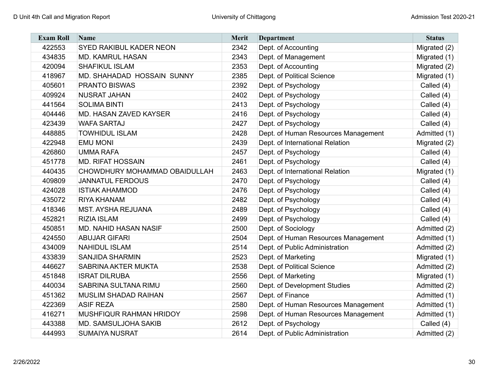| <b>Exam Roll</b> | Name                          | Merit | <b>Department</b>                   | <b>Status</b> |
|------------------|-------------------------------|-------|-------------------------------------|---------------|
| 422553           | SYED RAKIBUL KADER NEON       | 2342  | Dept. of Accounting                 | Migrated (2)  |
| 434835           | <b>MD. KAMRUL HASAN</b>       | 2343  | Dept. of Management                 | Migrated (1)  |
| 420094           | <b>SHAFIKUL ISLAM</b>         | 2353  | Dept. of Accounting                 | Migrated (2)  |
| 418967           | MD. SHAHADAD HOSSAIN SUNNY    | 2385  | Dept. of Political Science          | Migrated (1)  |
| 405601           | <b>PRANTO BISWAS</b>          | 2392  | Dept. of Psychology                 | Called (4)    |
| 409924           | <b>NUSRAT JAHAN</b>           | 2402  | Dept. of Psychology                 | Called (4)    |
| 441564           | <b>SOLIMA BINTI</b>           | 2413  | Dept. of Psychology                 | Called (4)    |
| 404446           | MD. HASAN ZAVED KAYSER        | 2416  | Dept. of Psychology                 | Called (4)    |
| 423439           | <b>WAFA SARTAJ</b>            | 2427  | Dept. of Psychology                 | Called (4)    |
| 448885           | <b>TOWHIDUL ISLAM</b>         | 2428  | Dept. of Human Resources Management | Admitted (1)  |
| 422948           | <b>EMU MONI</b>               | 2439  | Dept. of International Relation     | Migrated (2)  |
| 426860           | <b>UMMA RAFA</b>              | 2457  | Dept. of Psychology                 | Called (4)    |
| 451778           | <b>MD. RIFAT HOSSAIN</b>      | 2461  | Dept. of Psychology                 | Called (4)    |
| 440435           | CHOWDHURY MOHAMMAD OBAIDULLAH | 2463  | Dept. of International Relation     | Migrated (1)  |
| 409809           | <b>JANNATUL FERDOUS</b>       | 2470  | Dept. of Psychology                 | Called (4)    |
| 424028           | <b>ISTIAK AHAMMOD</b>         | 2476  | Dept. of Psychology                 | Called (4)    |
| 435072           | <b>RIYA KHANAM</b>            | 2482  | Dept. of Psychology                 | Called (4)    |
| 418346           | <b>MST. AYSHA REJUANA</b>     | 2489  | Dept. of Psychology                 | Called (4)    |
| 452821           | <b>RIZIA ISLAM</b>            | 2499  | Dept. of Psychology                 | Called (4)    |
| 450851           | <b>MD. NAHID HASAN NASIF</b>  | 2500  | Dept. of Sociology                  | Admitted (2)  |
| 424550           | <b>ABUJAR GIFARI</b>          | 2504  | Dept. of Human Resources Management | Admitted (1)  |
| 434009           | <b>NAHIDUL ISLAM</b>          | 2514  | Dept. of Public Administration      | Admitted (2)  |
| 433839           | <b>SANJIDA SHARMIN</b>        | 2523  | Dept. of Marketing                  | Migrated (1)  |
| 446627           | SABRINA AKTER MUKTA           | 2538  | Dept. of Political Science          | Admitted (2)  |
| 451848           | <b>ISRAT DILRUBA</b>          | 2556  | Dept. of Marketing                  | Migrated (1)  |
| 440034           | SABRINA SULTANA RIMU          | 2560  | Dept. of Development Studies        | Admitted (2)  |
| 451362           | <b>MUSLIM SHADAD RAIHAN</b>   | 2567  | Dept. of Finance                    | Admitted (1)  |
| 422369           | <b>ASIF REZA</b>              | 2580  | Dept. of Human Resources Management | Admitted (1)  |
| 416271           | MUSHFIQUR RAHMAN HRIDOY       | 2598  | Dept. of Human Resources Management | Admitted (1)  |
| 443388           | MD. SAMSULJOHA SAKIB          | 2612  | Dept. of Psychology                 | Called (4)    |
| 444993           | <b>SUMAIYA NUSRAT</b>         | 2614  | Dept. of Public Administration      | Admitted (2)  |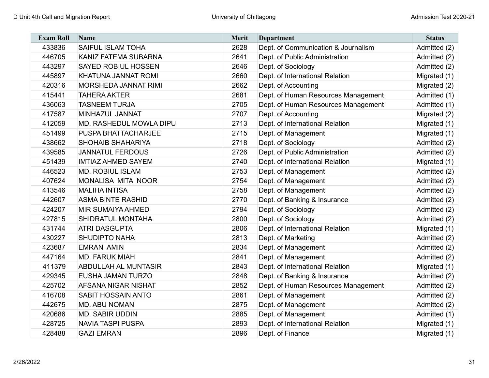| <b>Exam Roll</b> | <b>Name</b>                 | Merit | <b>Department</b>                   | <b>Status</b> |
|------------------|-----------------------------|-------|-------------------------------------|---------------|
| 433836           | <b>SAIFUL ISLAM TOHA</b>    | 2628  | Dept. of Communication & Journalism | Admitted (2)  |
| 446705           | KANIZ FATEMA SUBARNA        | 2641  | Dept. of Public Administration      | Admitted (2)  |
| 443297           | <b>SAYED ROBIUL HOSSEN</b>  | 2646  | Dept. of Sociology                  | Admitted (2)  |
| 445897           | KHATUNA JANNAT ROMI         | 2660  | Dept. of International Relation     | Migrated (1)  |
| 420316           | MORSHEDA JANNAT RIMI        | 2662  | Dept. of Accounting                 | Migrated (2)  |
| 415441           | <b>TAHERA AKTER</b>         | 2681  | Dept. of Human Resources Management | Admitted (1)  |
| 436063           | <b>TASNEEM TURJA</b>        | 2705  | Dept. of Human Resources Management | Admitted (1)  |
| 417587           | MINHAZUL JANNAT             | 2707  | Dept. of Accounting                 | Migrated (2)  |
| 412059           | MD. RASHEDUL MOWLA DIPU     | 2713  | Dept. of International Relation     | Migrated (1)  |
| 451499           | PUSPA BHATTACHARJEE         | 2715  | Dept. of Management                 | Migrated (1)  |
| 438662           | SHOHAIB SHAHARIYA           | 2718  | Dept. of Sociology                  | Admitted (2)  |
| 439585           | <b>JANNATUL FERDOUS</b>     | 2726  | Dept. of Public Administration      | Admitted (2)  |
| 451439           | <b>IMTIAZ AHMED SAYEM</b>   | 2740  | Dept. of International Relation     | Migrated (1)  |
| 446523           | <b>MD. ROBIUL ISLAM</b>     | 2753  | Dept. of Management                 | Admitted (2)  |
| 407624           | MONALISA MITA NOOR          | 2754  | Dept. of Management                 | Admitted (2)  |
| 413546           | <b>MALIHA INTISA</b>        | 2758  | Dept. of Management                 | Admitted (2)  |
| 442607           | <b>ASMA BINTE RASHID</b>    | 2770  | Dept. of Banking & Insurance        | Admitted (2)  |
| 424207           | <b>MIR SUMAIYA AHMED</b>    | 2794  | Dept. of Sociology                  | Admitted (2)  |
| 427815           | SHIDRATUL MONTAHA           | 2800  | Dept. of Sociology                  | Admitted (2)  |
| 431744           | <b>ATRI DASGUPTA</b>        | 2806  | Dept. of International Relation     | Migrated (1)  |
| 430227           | <b>SHUDIPTO NAHA</b>        | 2813  | Dept. of Marketing                  | Admitted (2)  |
| 423687           | <b>EMRAN AMIN</b>           | 2834  | Dept. of Management                 | Admitted (2)  |
| 447164           | <b>MD. FARUK MIAH</b>       | 2841  | Dept. of Management                 | Admitted (2)  |
| 411379           | <b>ABDULLAH AL MUNTASIR</b> | 2843  | Dept. of International Relation     | Migrated (1)  |
| 429345           | EUSHA JAMAN TURZO           | 2848  | Dept. of Banking & Insurance        | Admitted (2)  |
| 425702           | <b>AFSANA NIGAR NISHAT</b>  | 2852  | Dept. of Human Resources Management | Admitted (2)  |
| 416708           | <b>SABIT HOSSAIN ANTO</b>   | 2861  | Dept. of Management                 | Admitted (2)  |
| 442675           | MD. ABU NOMAN               | 2875  | Dept. of Management                 | Admitted (2)  |
| 420686           | <b>MD. SABIR UDDIN</b>      | 2885  | Dept. of Management                 | Admitted (1)  |
| 428725           | <b>NAVIA TASPI PUSPA</b>    | 2893  | Dept. of International Relation     | Migrated (1)  |
| 428488           | <b>GAZI EMRAN</b>           | 2896  | Dept. of Finance                    | Migrated (1)  |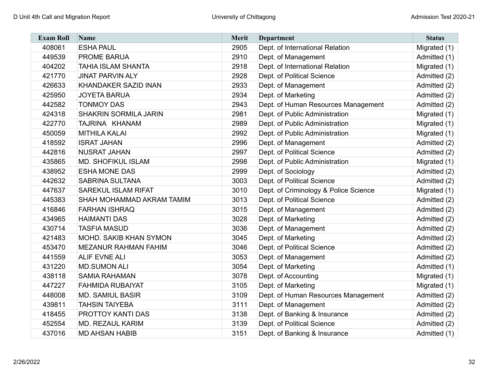| <b>Exam Roll</b> | Name                         | <b>Merit</b> | <b>Department</b>                     | <b>Status</b> |
|------------------|------------------------------|--------------|---------------------------------------|---------------|
| 408061           | <b>ESHA PAUL</b>             | 2905         | Dept. of International Relation       | Migrated (1)  |
| 449539           | <b>PROME BARUA</b>           | 2910         | Dept. of Management                   | Admitted (1)  |
| 404202           | <b>TAHIA ISLAM SHANTA</b>    | 2918         | Dept. of International Relation       | Migrated (1)  |
| 421770           | <b>JINAT PARVIN ALY</b>      | 2928         | Dept. of Political Science            | Admitted (2)  |
| 426633           | <b>KHANDAKER SAZID INAN</b>  | 2933         | Dept. of Management                   | Admitted (2)  |
| 425950           | <b>JOYETA BARUA</b>          | 2934         | Dept. of Marketing                    | Admitted (2)  |
| 442582           | <b>TONMOY DAS</b>            | 2943         | Dept. of Human Resources Management   | Admitted (2)  |
| 424318           | <b>SHAKRIN SORMILA JARIN</b> | 2981         | Dept. of Public Administration        | Migrated (1)  |
| 422770           | TAJRINA KHANAM               | 2989         | Dept. of Public Administration        | Migrated (1)  |
| 450059           | <b>MITHILA KALAI</b>         | 2992         | Dept. of Public Administration        | Migrated (1)  |
| 418592           | <b>ISRAT JAHAN</b>           | 2996         | Dept. of Management                   | Admitted (2)  |
| 442816           | <b>NUSRAT JAHAN</b>          | 2997         | Dept. of Political Science            | Admitted (2)  |
| 435865           | <b>MD. SHOFIKUL ISLAM</b>    | 2998         | Dept. of Public Administration        | Migrated (1)  |
| 438952           | <b>ESHA MONE DAS</b>         | 2999         | Dept. of Sociology                    | Admitted (2)  |
| 442632           | <b>SABRINA SULTANA</b>       | 3003         | Dept. of Political Science            | Admitted (2)  |
| 447637           | <b>SAREKUL ISLAM RIFAT</b>   | 3010         | Dept. of Criminology & Police Science | Migrated (1)  |
| 445383           | SHAH MOHAMMAD AKRAM TAMIM    | 3013         | Dept. of Political Science            | Admitted (2)  |
| 416846           | <b>FARHAN ISHRAQ</b>         | 3015         | Dept. of Management                   | Admitted (2)  |
| 434965           | <b>HAIMANTI DAS</b>          | 3028         | Dept. of Marketing                    | Admitted (2)  |
| 430714           | <b>TASFIA MASUD</b>          | 3036         | Dept. of Management                   | Admitted (2)  |
| 421483           | MOHD. SAKIB KHAN SYMON       | 3045         | Dept. of Marketing                    | Admitted (2)  |
| 453470           | MEZANUR RAHMAN FAHIM         | 3046         | Dept. of Political Science            | Admitted (2)  |
| 441559           | <b>ALIF EVNE ALI</b>         | 3053         | Dept. of Management                   | Admitted (2)  |
| 431220           | <b>MD.SUMON ALI</b>          | 3054         | Dept. of Marketing                    | Admitted (1)  |
| 438118           | <b>SAMIA RAHAMAN</b>         | 3078         | Dept. of Accounting                   | Migrated (1)  |
| 447227           | <b>FAHMIDA RUBAIYAT</b>      | 3105         | Dept. of Marketing                    | Migrated (1)  |
| 448008           | <b>MD. SAMIUL BASIR</b>      | 3109         | Dept. of Human Resources Management   | Admitted (2)  |
| 439811           | <b>TAHSIN TAIYEBA</b>        | 3111         | Dept. of Management                   | Admitted (2)  |
| 418455           | PROTTOY KANTI DAS            | 3138         | Dept. of Banking & Insurance          | Admitted (2)  |
| 452554           | <b>MD. REZAUL KARIM</b>      | 3139         | Dept. of Political Science            | Admitted (2)  |
| 437016           | <b>MD AHSAN HABIB</b>        | 3151         | Dept. of Banking & Insurance          | Admitted (1)  |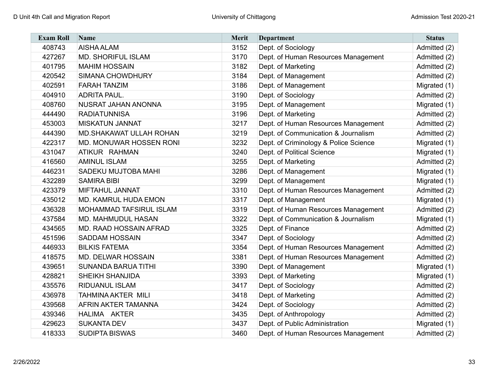| <b>Exam Roll</b> | <b>Name</b>                    | <b>Merit</b> | <b>Department</b>                     | <b>Status</b> |
|------------------|--------------------------------|--------------|---------------------------------------|---------------|
| 408743           | <b>AISHA ALAM</b>              | 3152         | Dept. of Sociology                    | Admitted (2)  |
| 427267           | <b>MD. SHORIFUL ISLAM</b>      | 3170         | Dept. of Human Resources Management   | Admitted (2)  |
| 401795           | <b>MAHIM HOSSAIN</b>           | 3182         | Dept. of Marketing                    | Admitted (2)  |
| 420542           | <b>SIMANA CHOWDHURY</b>        | 3184         | Dept. of Management                   | Admitted (2)  |
| 402591           | <b>FARAH TANZIM</b>            | 3186         | Dept. of Management                   | Migrated (1)  |
| 404910           | <b>ADRITA PAUL.</b>            | 3190         | Dept. of Sociology                    | Admitted (2)  |
| 408760           | NUSRAT JAHAN ANONNA            | 3195         | Dept. of Management                   | Migrated (1)  |
| 444490           | <b>RADIATUNNISA</b>            | 3196         | Dept. of Marketing                    | Admitted (2)  |
| 453003           | <b>MISKATUN JANNAT</b>         | 3217         | Dept. of Human Resources Management   | Admitted (2)  |
| 444390           | <b>MD.SHAKAWAT ULLAH ROHAN</b> | 3219         | Dept. of Communication & Journalism   | Admitted (2)  |
| 422317           | MD. MONUWAR HOSSEN RONI        | 3232         | Dept. of Criminology & Police Science | Migrated (1)  |
| 431047           | ATIKUR RAHMAN                  | 3240         | Dept. of Political Science            | Migrated (1)  |
| 416560           | <b>AMINUL ISLAM</b>            | 3255         | Dept. of Marketing                    | Admitted (2)  |
| 446231           | <b>SADEKU MUJTOBA MAHI</b>     | 3286         | Dept. of Management                   | Migrated (1)  |
| 432289           | <b>SAMIRA BIBI</b>             | 3299         | Dept. of Management                   | Migrated (1)  |
| 423379           | <b>MIFTAHUL JANNAT</b>         | 3310         | Dept. of Human Resources Management   | Admitted (2)  |
| 435012           | <b>MD. KAMRUL HUDA EMON</b>    | 3317         | Dept. of Management                   | Migrated (1)  |
| 436328           | <b>MOHAMMAD TAFSIRUL ISLAM</b> | 3319         | Dept. of Human Resources Management   | Admitted (2)  |
| 437584           | <b>MD. MAHMUDUL HASAN</b>      | 3322         | Dept. of Communication & Journalism   | Migrated (1)  |
| 434565           | <b>MD. RAAD HOSSAIN AFRAD</b>  | 3325         | Dept. of Finance                      | Admitted (2)  |
| 451596           | <b>SADDAM HOSSAIN</b>          | 3347         | Dept. of Sociology                    | Admitted (2)  |
| 446933           | <b>BILKIS FATEMA</b>           | 3354         | Dept. of Human Resources Management   | Admitted (2)  |
| 418575           | <b>MD. DELWAR HOSSAIN</b>      | 3381         | Dept. of Human Resources Management   | Admitted (2)  |
| 439651           | <b>SUNANDA BARUA TITHI</b>     | 3390         | Dept. of Management                   | Migrated (1)  |
| 428821           | <b>SHEIKH SHANJIDA</b>         | 3393         | Dept. of Marketing                    | Migrated (1)  |
| 435576           | <b>RIDUANUL ISLAM</b>          | 3417         | Dept. of Sociology                    | Admitted (2)  |
| 436978           | <b>TAHMINA AKTER MILI</b>      | 3418         | Dept. of Marketing                    | Admitted (2)  |
| 439568           | <b>AFRIN AKTER TAMANNA</b>     | 3424         | Dept. of Sociology                    | Admitted (2)  |
| 439346           | HALIMA AKTER                   | 3435         | Dept. of Anthropology                 | Admitted (2)  |
| 429623           | <b>SUKANTA DEV</b>             | 3437         | Dept. of Public Administration        | Migrated (1)  |
| 418333           | <b>SUDIPTA BISWAS</b>          | 3460         | Dept. of Human Resources Management   | Admitted (2)  |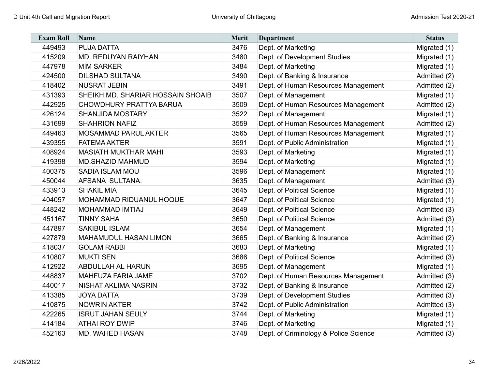| <b>Exam Roll</b> | Name                              | <b>Merit</b> | <b>Department</b>                     | <b>Status</b> |
|------------------|-----------------------------------|--------------|---------------------------------------|---------------|
| 449493           | <b>PUJA DATTA</b>                 | 3476         | Dept. of Marketing                    | Migrated (1)  |
| 415209           | MD. REDUYAN RAIYHAN               | 3480         | Dept. of Development Studies          | Migrated (1)  |
| 447978           | <b>MIM SARKER</b>                 | 3484         | Dept. of Marketing                    | Migrated (1)  |
| 424500           | <b>DILSHAD SULTANA</b>            | 3490         | Dept. of Banking & Insurance          | Admitted (2)  |
| 418402           | <b>NUSRAT JEBIN</b>               | 3491         | Dept. of Human Resources Management   | Admitted (2)  |
| 431393           | SHEIKH MD. SHARIAR HOSSAIN SHOAIB | 3507         | Dept. of Management                   | Migrated (1)  |
| 442925           | CHOWDHURY PRATTYA BARUA           | 3509         | Dept. of Human Resources Management   | Admitted (2)  |
| 426124           | <b>SHANJIDA MOSTARY</b>           | 3522         | Dept. of Management                   | Migrated (1)  |
| 431699           | <b>SHAHRION NAFIZ</b>             | 3559         | Dept. of Human Resources Management   | Admitted (2)  |
| 449463           | <b>MOSAMMAD PARUL AKTER</b>       | 3565         | Dept. of Human Resources Management   | Migrated (1)  |
| 439355           | <b>FATEMA AKTER</b>               | 3591         | Dept. of Public Administration        | Migrated (1)  |
| 408924           | <b>MASIATH MUKTHAR MAHI</b>       | 3593         | Dept. of Marketing                    | Migrated (1)  |
| 419398           | <b>MD.SHAZID MAHMUD</b>           | 3594         | Dept. of Marketing                    | Migrated (1)  |
| 400375           | SADIA ISLAM MOU                   | 3596         | Dept. of Management                   | Migrated (1)  |
| 450044           | AFSANA SULTANA.                   | 3635         | Dept. of Management                   | Admitted (3)  |
| 433913           | <b>SHAKIL MIA</b>                 | 3645         | Dept. of Political Science            | Migrated (1)  |
| 404057           | MOHAMMAD RIDUANUL HOQUE           | 3647         | Dept. of Political Science            | Migrated (1)  |
| 448242           | MOHAMMAD IMTIAJ                   | 3649         | Dept. of Political Science            | Admitted (3)  |
| 451167           | <b>TINNY SAHA</b>                 | 3650         | Dept. of Political Science            | Admitted (3)  |
| 447897           | <b>SAKIBUL ISLAM</b>              | 3654         | Dept. of Management                   | Migrated (1)  |
| 427879           | <b>MAHAMUDUL HASAN LIMON</b>      | 3665         | Dept. of Banking & Insurance          | Admitted (2)  |
| 418037           | <b>GOLAM RABBI</b>                | 3683         | Dept. of Marketing                    | Migrated (1)  |
| 410807           | <b>MUKTI SEN</b>                  | 3686         | Dept. of Political Science            | Admitted (3)  |
| 412922           | <b>ABDULLAH AL HARUN</b>          | 3695         | Dept. of Management                   | Migrated (1)  |
| 448837           | MAHFUZA FARIA JAME                | 3702         | Dept. of Human Resources Management   | Admitted (3)  |
| 440017           | NISHAT AKLIMA NASRIN              | 3732         | Dept. of Banking & Insurance          | Admitted (2)  |
| 413385           | <b>JOYA DATTA</b>                 | 3739         | Dept. of Development Studies          | Admitted (3)  |
| 410875           | <b>NOWRIN AKTER</b>               | 3742         | Dept. of Public Administration        | Admitted (3)  |
| 422265           | <b>ISRUT JAHAN SEULY</b>          | 3744         | Dept. of Marketing                    | Migrated (1)  |
| 414184           | <b>ATHAI ROY DWIP</b>             | 3746         | Dept. of Marketing                    | Migrated (1)  |
| 452163           | <b>MD. WAHED HASAN</b>            | 3748         | Dept. of Criminology & Police Science | Admitted (3)  |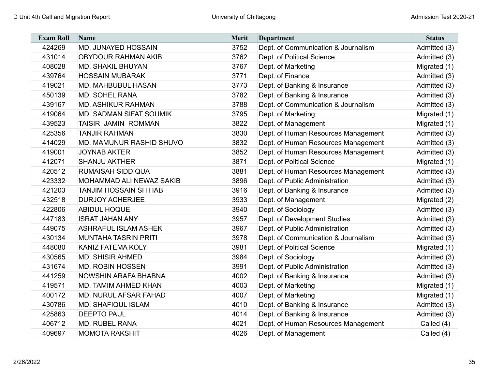| <b>Exam Roll</b> | <b>Name</b>                  | <b>Merit</b> | <b>Department</b>                   | <b>Status</b> |
|------------------|------------------------------|--------------|-------------------------------------|---------------|
| 424269           | MD. JUNAYED HOSSAIN          | 3752         | Dept. of Communication & Journalism | Admitted (3)  |
| 431014           | <b>OBYDOUR RAHMAN AKIB</b>   | 3762         | Dept. of Political Science          | Admitted (3)  |
| 408028           | <b>MD. SHAKIL BHUYAN</b>     | 3767         | Dept. of Marketing                  | Migrated (1)  |
| 439764           | <b>HOSSAIN MUBARAK</b>       | 3771         | Dept. of Finance                    | Admitted (3)  |
| 419021           | <b>MD. MAHBUBUL HASAN</b>    | 3773         | Dept. of Banking & Insurance        | Admitted (3)  |
| 450139           | <b>MD. SOHEL RANA</b>        | 3782         | Dept. of Banking & Insurance        | Admitted (3)  |
| 439167           | <b>MD. ASHIKUR RAHMAN</b>    | 3788         | Dept. of Communication & Journalism | Admitted (3)  |
| 419064           | MD. SADMAN SIFAT SOUMIK      | 3795         | Dept. of Marketing                  | Migrated (1)  |
| 439523           | TAISIR JAMIN ROMMAN          | 3822         | Dept. of Management                 | Migrated (1)  |
| 425356           | <b>TANJIR RAHMAN</b>         | 3830         | Dept. of Human Resources Management | Admitted (3)  |
| 414029           | MD. MAMUNUR RASHID SHUVO     | 3832         | Dept. of Human Resources Management | Admitted (3)  |
| 419001           | <b>JOYNAB AKTER</b>          | 3852         | Dept. of Human Resources Management | Admitted (3)  |
| 412071           | <b>SHANJU AKTHER</b>         | 3871         | Dept. of Political Science          | Migrated (1)  |
| 420512           | RUMAISAH SIDDIQUA            | 3881         | Dept. of Human Resources Management | Admitted (3)  |
| 423332           | MOHAMMAD ALI NEWAZ SAKIB     | 3896         | Dept. of Public Administration      | Admitted (3)  |
| 421203           | <b>TANJIM HOSSAIN SHIHAB</b> | 3916         | Dept. of Banking & Insurance        | Admitted (3)  |
| 432518           | <b>DURJOY ACHERJEE</b>       | 3933         | Dept. of Management                 | Migrated (2)  |
| 422806           | <b>ABIDUL HOQUE</b>          | 3940         | Dept. of Sociology                  | Admitted (3)  |
| 447183           | <b>ISRAT JAHAN ANY</b>       | 3957         | Dept. of Development Studies        | Admitted (3)  |
| 449075           | <b>ASHRAFUL ISLAM ASHEK</b>  | 3967         | Dept. of Public Administration      | Admitted (3)  |
| 430134           | <b>MUNTAHA TASRIN PRITI</b>  | 3978         | Dept. of Communication & Journalism | Admitted (3)  |
| 448080           | <b>KANIZ FATEMA KOLY</b>     | 3981         | Dept. of Political Science          | Migrated (1)  |
| 430565           | <b>MD. SHISIR AHMED</b>      | 3984         | Dept. of Sociology                  | Admitted (3)  |
| 431674           | <b>MD. ROBIN HOSSEN</b>      | 3991         | Dept. of Public Administration      | Admitted (3)  |
| 441259           | NOWSHIN ARAFA BHABNA         | 4002         | Dept. of Banking & Insurance        | Admitted (3)  |
| 419571           | MD. TAMIM AHMED KHAN         | 4003         | Dept. of Marketing                  | Migrated (1)  |
| 400172           | MD. NURUL AFSAR FAHAD        | 4007         | Dept. of Marketing                  | Migrated (1)  |
| 430786           | <b>MD. SHAFIQUL ISLAM</b>    | 4010         | Dept. of Banking & Insurance        | Admitted (3)  |
| 425863           | <b>DEEPTO PAUL</b>           | 4014         | Dept. of Banking & Insurance        | Admitted (3)  |
| 406712           | <b>MD. RUBEL RANA</b>        | 4021         | Dept. of Human Resources Management | Called (4)    |
| 409697           | <b>MOMOTA RAKSHIT</b>        | 4026         | Dept. of Management                 | Called (4)    |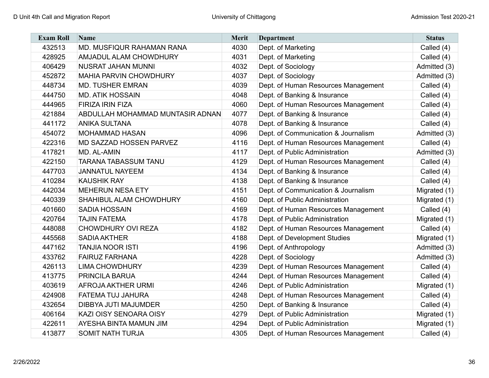| <b>Exam Roll</b> | <b>Name</b>                      | Merit | <b>Department</b>                   | <b>Status</b> |
|------------------|----------------------------------|-------|-------------------------------------|---------------|
| 432513           | MD. MUSFIQUR RAHAMAN RANA        | 4030  | Dept. of Marketing                  | Called (4)    |
| 428925           | <b>AMJADUL ALAM CHOWDHURY</b>    | 4031  | Dept. of Marketing                  | Called (4)    |
| 406429           | <b>NUSRAT JAHAN MUNNI</b>        | 4032  | Dept. of Sociology                  | Admitted (3)  |
| 452872           | <b>MAHIA PARVIN CHOWDHURY</b>    | 4037  | Dept. of Sociology                  | Admitted (3)  |
| 448734           | <b>MD. TUSHER EMRAN</b>          | 4039  | Dept. of Human Resources Management | Called (4)    |
| 444750           | <b>MD. ATIK HOSSAIN</b>          | 4048  | Dept. of Banking & Insurance        | Called (4)    |
| 444965           | <b>FIRIZA IRIN FIZA</b>          | 4060  | Dept. of Human Resources Management | Called (4)    |
| 421884           | ABDULLAH MOHAMMAD MUNTASIR ADNAN | 4077  | Dept. of Banking & Insurance        | Called (4)    |
| 441172           | <b>ANIKA SULTANA</b>             | 4078  | Dept. of Banking & Insurance        | Called (4)    |
| 454072           | <b>MOHAMMAD HASAN</b>            | 4096  | Dept. of Communication & Journalism | Admitted (3)  |
| 422316           | MD SAZZAD HOSSEN PARVEZ          | 4116  | Dept. of Human Resources Management | Called (4)    |
| 417821           | MD. AL-AMIN                      | 4117  | Dept. of Public Administration      | Admitted (3)  |
| 422150           | <b>TARANA TABASSUM TANU</b>      | 4129  | Dept. of Human Resources Management | Called (4)    |
| 447703           | <b>JANNATUL NAYEEM</b>           | 4134  | Dept. of Banking & Insurance        | Called (4)    |
| 410284           | <b>KAUSHIK RAY</b>               | 4138  | Dept. of Banking & Insurance        | Called (4)    |
| 442034           | <b>MEHERUN NESA ETY</b>          | 4151  | Dept. of Communication & Journalism | Migrated (1)  |
| 440339           | SHAHIBUL ALAM CHOWDHURY          | 4160  | Dept. of Public Administration      | Migrated (1)  |
| 401660           | <b>SADIA HOSSAIN</b>             | 4169  | Dept. of Human Resources Management | Called (4)    |
| 420764           | <b>TAJIN FATEMA</b>              | 4178  | Dept. of Public Administration      | Migrated (1)  |
| 448088           | <b>CHOWDHURY OVI REZA</b>        | 4182  | Dept. of Human Resources Management | Called (4)    |
| 445568           | <b>SADIA AKTHER</b>              | 4188  | Dept. of Development Studies        | Migrated (1)  |
| 447162           | <b>TANJIA NOOR ISTI</b>          | 4196  | Dept. of Anthropology               | Admitted (3)  |
| 433762           | <b>FAIRUZ FARHANA</b>            | 4228  | Dept. of Sociology                  | Admitted (3)  |
| 426113           | <b>LIMA CHOWDHURY</b>            | 4239  | Dept. of Human Resources Management | Called (4)    |
| 413775           | PRINCILA BARUA                   | 4244  | Dept. of Human Resources Management | Called (4)    |
| 403619           | <b>AFROJA AKTHER URMI</b>        | 4246  | Dept. of Public Administration      | Migrated (1)  |
| 424908           | FATEMA TUJ JAHURA                | 4248  | Dept. of Human Resources Management | Called (4)    |
| 432654           | DIBBYA JUTI MAJUMDER             | 4250  | Dept. of Banking & Insurance        | Called (4)    |
| 406164           | KAZI OISY SENOARA OISY           | 4279  | Dept. of Public Administration      | Migrated (1)  |
| 422611           | AYESHA BINTA MAMUN JIM           | 4294  | Dept. of Public Administration      | Migrated (1)  |
| 413877           | <b>SOMIT NATH TURJA</b>          | 4305  | Dept. of Human Resources Management | Called (4)    |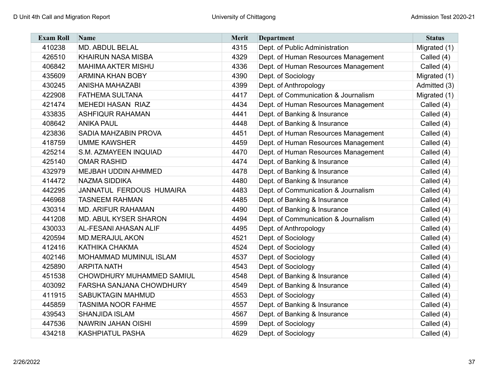| <b>Exam Roll</b> | <b>Name</b>                   | Merit | <b>Department</b>                   | <b>Status</b> |
|------------------|-------------------------------|-------|-------------------------------------|---------------|
| 410238           | <b>MD. ABDUL BELAL</b>        | 4315  | Dept. of Public Administration      | Migrated (1)  |
| 426510           | <b>KHAIRUN NASA MISBA</b>     | 4329  | Dept. of Human Resources Management | Called (4)    |
| 406842           | <b>MAHIMA AKTER MISHU</b>     | 4336  | Dept. of Human Resources Management | Called (4)    |
| 435609           | <b>ARMINA KHAN BOBY</b>       | 4390  | Dept. of Sociology                  | Migrated (1)  |
| 430245           | <b>ANISHA MAHAZABI</b>        | 4399  | Dept. of Anthropology               | Admitted (3)  |
| 422908           | <b>FATHEMA SULTANA</b>        | 4417  | Dept. of Communication & Journalism | Migrated (1)  |
| 421474           | <b>MEHEDI HASAN RIAZ</b>      | 4434  | Dept. of Human Resources Management | Called (4)    |
| 433835           | <b>ASHFIQUR RAHAMAN</b>       | 4441  | Dept. of Banking & Insurance        | Called (4)    |
| 408642           | <b>ANIKA PAUL</b>             | 4448  | Dept. of Banking & Insurance        | Called (4)    |
| 423836           | SADIA MAHZABIN PROVA          | 4451  | Dept. of Human Resources Management | Called (4)    |
| 418759           | <b>UMME KAWSHER</b>           | 4459  | Dept. of Human Resources Management | Called (4)    |
| 425214           | S.M. AZMAYEEN INQUIAD         | 4470  | Dept. of Human Resources Management | Called (4)    |
| 425140           | <b>OMAR RASHID</b>            | 4474  | Dept. of Banking & Insurance        | Called (4)    |
| 432979           | MEJBAH UDDIN AHMMED           | 4478  | Dept. of Banking & Insurance        | Called (4)    |
| 414472           | <b>NAZMA SIDDIKA</b>          | 4480  | Dept. of Banking & Insurance        | Called (4)    |
| 442295           | JANNATUL FERDOUS HUMAIRA      | 4483  | Dept. of Communication & Journalism | Called (4)    |
| 446968           | <b>TASNEEM RAHMAN</b>         | 4485  | Dept. of Banking & Insurance        | Called (4)    |
| 430314           | <b>MD. ARIFUR RAHAMAN</b>     | 4490  | Dept. of Banking & Insurance        | Called (4)    |
| 441208           | MD. ABUL KYSER SHARON         | 4494  | Dept. of Communication & Journalism | Called (4)    |
| 430033           | <b>AL-FESANI AHASAN ALIF</b>  | 4495  | Dept. of Anthropology               | Called (4)    |
| 420594           | <b>MD.MERAJUL AKON</b>        | 4521  | Dept. of Sociology                  | Called (4)    |
| 412416           | <b>KATHIKA CHAKMA</b>         | 4524  | Dept. of Sociology                  | Called (4)    |
| 402146           | <b>MOHAMMAD MUMINUL ISLAM</b> | 4537  | Dept. of Sociology                  | Called (4)    |
| 425890           | <b>ARPITA NATH</b>            | 4543  | Dept. of Sociology                  | Called (4)    |
| 451538           | CHOWDHURY MUHAMMED SAMIUL     | 4548  | Dept. of Banking & Insurance        | Called (4)    |
| 403092           | FARSHA SANJANA CHOWDHURY      | 4549  | Dept. of Banking & Insurance        | Called (4)    |
| 411915           | <b>SABUKTAGIN MAHMUD</b>      | 4553  | Dept. of Sociology                  | Called (4)    |
| 445859           | <b>TASNIMA NOOR FAHME</b>     | 4557  | Dept. of Banking & Insurance        | Called (4)    |
| 439543           | <b>SHANJIDA ISLAM</b>         | 4567  | Dept. of Banking & Insurance        | Called (4)    |
| 447536           | <b>NAWRIN JAHAN OISHI</b>     | 4599  | Dept. of Sociology                  | Called (4)    |
| 434218           | <b>KASHPIATUL PASHA</b>       | 4629  | Dept. of Sociology                  | Called (4)    |